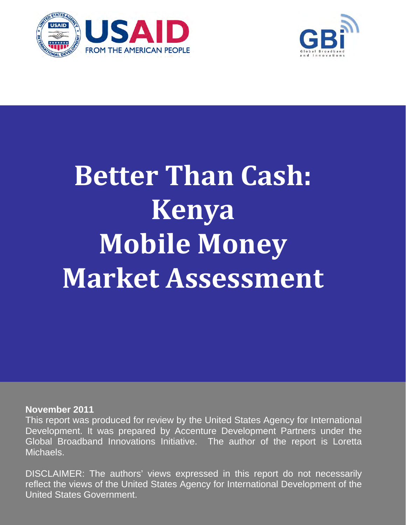



# **Better Than Cash: Kenya Mobile Money Market Assessment**

## **November 2011**

This report was produced for review by the United States Agency for International Development. It was prepared by Accenture Development Partners under the Global Broadband Innovations Initiative. The author of the report is Loretta Michaels.

DISCLAIMER: The authors' views expressed in this report do not necessarily reflect the views of the United States Agency for International Development of the United States Government.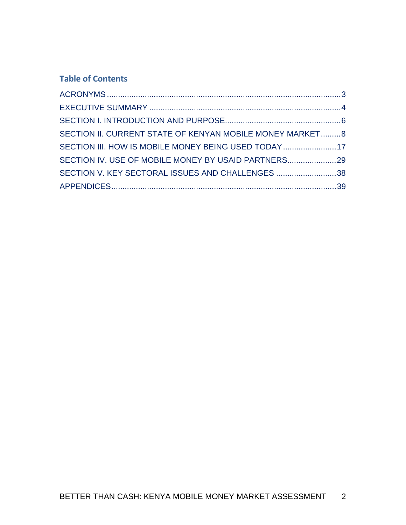# **Table of Contents**

| SECTION II. CURRENT STATE OF KENYAN MOBILE MONEY MARKET 8 |  |
|-----------------------------------------------------------|--|
| SECTION III. HOW IS MOBILE MONEY BEING USED TODAY17       |  |
| SECTION IV. USE OF MOBILE MONEY BY USAID PARTNERS29       |  |
| SECTION V. KEY SECTORAL ISSUES AND CHALLENGES 38          |  |
|                                                           |  |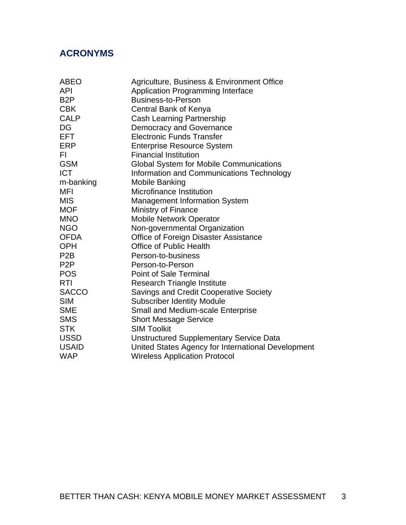# **ACRONYMS**

| <b>ABEO</b>      | Agriculture, Business & Environment Office         |
|------------------|----------------------------------------------------|
| <b>API</b>       | Application Programming Interface                  |
| B <sub>2</sub> P | <b>Business-to-Person</b>                          |
| <b>CBK</b>       | Central Bank of Kenya                              |
| <b>CALP</b>      | Cash Learning Partnership                          |
| DG               | <b>Democracy and Governance</b>                    |
| <b>EFT</b>       | <b>Electronic Funds Transfer</b>                   |
| <b>ERP</b>       | <b>Enterprise Resource System</b>                  |
| FI.              | <b>Financial Institution</b>                       |
| <b>GSM</b>       | <b>Global System for Mobile Communications</b>     |
| <b>ICT</b>       | Information and Communications Technology          |
| m-banking        | Mobile Banking                                     |
| MFI              | Microfinance Institution                           |
| <b>MIS</b>       | <b>Management Information System</b>               |
| <b>MOF</b>       | Ministry of Finance                                |
| <b>MNO</b>       | <b>Mobile Network Operator</b>                     |
| <b>NGO</b>       | Non-governmental Organization                      |
| <b>OFDA</b>      | <b>Office of Foreign Disaster Assistance</b>       |
| <b>OPH</b>       | <b>Office of Public Health</b>                     |
| P <sub>2</sub> B | Person-to-business                                 |
| P <sub>2</sub> P | Person-to-Person                                   |
| <b>POS</b>       | <b>Point of Sale Terminal</b>                      |
| <b>RTI</b>       | <b>Research Triangle Institute</b>                 |
| <b>SACCO</b>     | <b>Savings and Credit Cooperative Society</b>      |
| <b>SIM</b>       | <b>Subscriber Identity Module</b>                  |
| <b>SME</b>       | <b>Small and Medium-scale Enterprise</b>           |
| <b>SMS</b>       | <b>Short Message Service</b>                       |
| <b>STK</b>       | <b>SIM Toolkit</b>                                 |
| <b>USSD</b>      | <b>Unstructured Supplementary Service Data</b>     |
| <b>USAID</b>     | United States Agency for International Development |
| <b>WAP</b>       | <b>Wireless Application Protocol</b>               |
|                  |                                                    |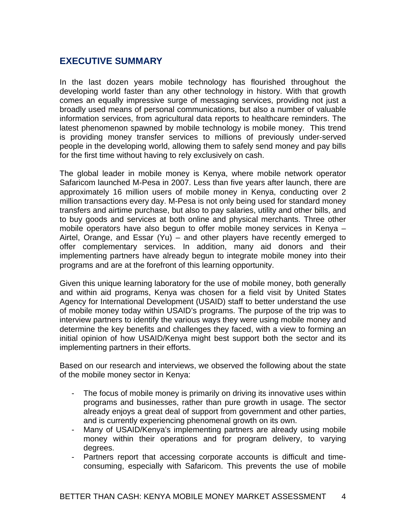# **EXECUTIVE SUMMARY**

In the last dozen years mobile technology has flourished throughout the developing world faster than any other technology in history. With that growth comes an equally impressive surge of messaging services, providing not just a broadly used means of personal communications, but also a number of valuable information services, from agricultural data reports to healthcare reminders. The latest phenomenon spawned by mobile technology is mobile money. This trend is providing money transfer services to millions of previously under-served people in the developing world, allowing them to safely send money and pay bills for the first time without having to rely exclusively on cash.

The global leader in mobile money is Kenya, where mobile network operator Safaricom launched M-Pesa in 2007. Less than five years after launch, there are approximately 16 million users of mobile money in Kenya, conducting over 2 million transactions every day. M-Pesa is not only being used for standard money transfers and airtime purchase, but also to pay salaries, utility and other bills, and to buy goods and services at both online and physical merchants. Three other mobile operators have also begun to offer mobile money services in Kenya – Airtel, Orange, and Essar (Yu) – and other players have recently emerged to offer complementary services. In addition, many aid donors and their implementing partners have already begun to integrate mobile money into their programs and are at the forefront of this learning opportunity.

Given this unique learning laboratory for the use of mobile money, both generally and within aid programs, Kenya was chosen for a field visit by United States Agency for International Development (USAID) staff to better understand the use of mobile money today within USAID's programs. The purpose of the trip was to interview partners to identify the various ways they were using mobile money and determine the key benefits and challenges they faced, with a view to forming an initial opinion of how USAID/Kenya might best support both the sector and its implementing partners in their efforts.

Based on our research and interviews, we observed the following about the state of the mobile money sector in Kenya:

- The focus of mobile money is primarily on driving its innovative uses within programs and businesses, rather than pure growth in usage. The sector already enjoys a great deal of support from government and other parties, and is currently experiencing phenomenal growth on its own.
- Many of USAID/Kenya's implementing partners are already using mobile money within their operations and for program delivery, to varying degrees.
- Partners report that accessing corporate accounts is difficult and timeconsuming, especially with Safaricom. This prevents the use of mobile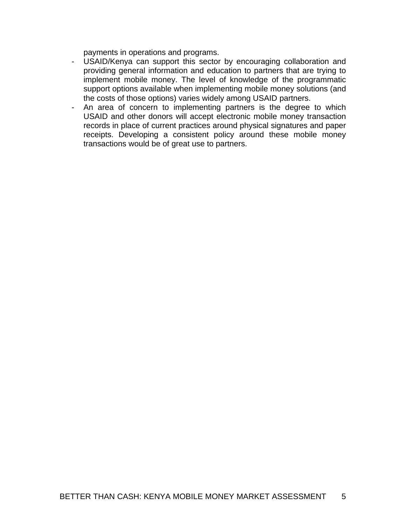payments in operations and programs.

- USAID/Kenya can support this sector by encouraging collaboration and providing general information and education to partners that are trying to implement mobile money. The level of knowledge of the programmatic support options available when implementing mobile money solutions (and the costs of those options) varies widely among USAID partners.
- An area of concern to implementing partners is the degree to which USAID and other donors will accept electronic mobile money transaction records in place of current practices around physical signatures and paper receipts. Developing a consistent policy around these mobile money transactions would be of great use to partners.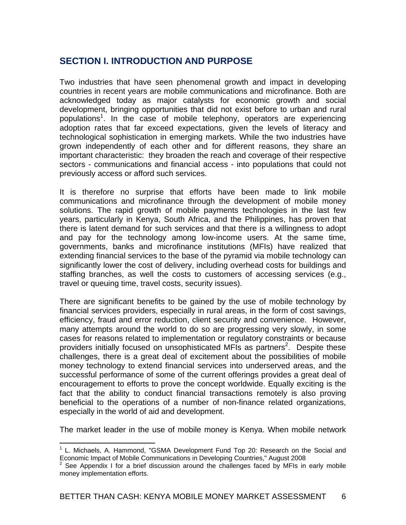# **SECTION I. INTRODUCTION AND PURPOSE**

Two industries that have seen phenomenal growth and impact in developing countries in recent years are mobile communications and microfinance. Both are acknowledged today as major catalysts for economic growth and social development, bringing opportunities that did not exist before to urban and rural populations<sup>1</sup>. In the case of mobile telephony, operators are experiencing adoption rates that far exceed expectations, given the levels of literacy and technological sophistication in emerging markets. While the two industries have grown independently of each other and for different reasons, they share an important characteristic: they broaden the reach and coverage of their respective sectors - communications and financial access - into populations that could not previously access or afford such services.

It is therefore no surprise that efforts have been made to link mobile communications and microfinance through the development of mobile money solutions. The rapid growth of mobile payments technologies in the last few years, particularly in Kenya, South Africa, and the Philippines, has proven that there is latent demand for such services and that there is a willingness to adopt and pay for the technology among low-income users. At the same time, governments, banks and microfinance institutions (MFIs) have realized that extending financial services to the base of the pyramid via mobile technology can significantly lower the cost of delivery, including overhead costs for buildings and staffing branches, as well the costs to customers of accessing services (e.g., travel or queuing time, travel costs, security issues).

There are significant benefits to be gained by the use of mobile technology by financial services providers, especially in rural areas, in the form of cost savings, efficiency, fraud and error reduction, client security and convenience. However, many attempts around the world to do so are progressing very slowly, in some cases for reasons related to implementation or regulatory constraints or because providers initially focused on unsophisticated MFIs as partners<sup>2</sup>. Despite these challenges, there is a great deal of excitement about the possibilities of mobile money technology to extend financial services into underserved areas, and the successful performance of some of the current offerings provides a great deal of encouragement to efforts to prove the concept worldwide. Equally exciting is the fact that the ability to conduct financial transactions remotely is also proving beneficial to the operations of a number of non-finance related organizations, especially in the world of aid and development.

The market leader in the use of mobile money is Kenya. When mobile network

 $\overline{a}$ <sup>1</sup> L. Michaels, A. Hammond, "GSMA Development Fund Top 20: Research on the Social and Economic Impact of Mobile Communications in Developing Countries," August 2008

 $2$  See Appendix I for a brief discussion around the challenges faced by MFIs in early mobile money implementation efforts.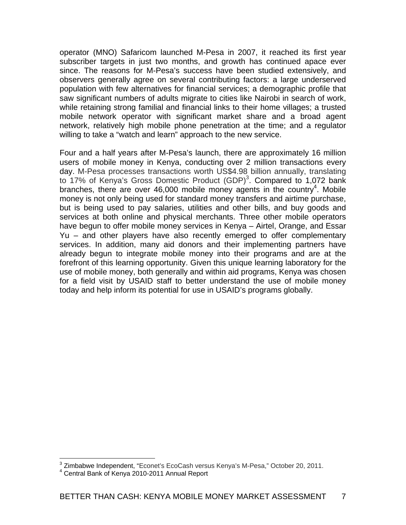operator (MNO) Safaricom launched M-Pesa in 2007, it reached its first year subscriber targets in just two months, and growth has continued apace ever since. The reasons for M-Pesa's success have been studied extensively, and observers generally agree on several contributing factors: a large underserved population with few alternatives for financial services; a demographic profile that saw significant numbers of adults migrate to cities like Nairobi in search of work, while retaining strong familial and financial links to their home villages; a trusted mobile network operator with significant market share and a broad agent network, relatively high mobile phone penetration at the time; and a regulator willing to take a "watch and learn" approach to the new service.

Four and a half years after M-Pesa's launch, there are approximately 16 million users of mobile money in Kenya, conducting over 2 million transactions every day. M-Pesa processes transactions worth US\$4.98 billion annually, translating to 17% of Kenya's Gross Domestic Product  $(GDP)^3$ . Compared to 1,072 bank branches, there are over 46,000 mobile money agents in the country<sup>4</sup>. Mobile money is not only being used for standard money transfers and airtime purchase, but is being used to pay salaries, utilities and other bills, and buy goods and services at both online and physical merchants. Three other mobile operators have begun to offer mobile money services in Kenya – Airtel, Orange, and Essar Yu – and other players have also recently emerged to offer complementary services. In addition, many aid donors and their implementing partners have already begun to integrate mobile money into their programs and are at the forefront of this learning opportunity. Given this unique learning laboratory for the use of mobile money, both generally and within aid programs, Kenya was chosen for a field visit by USAID staff to better understand the use of mobile money today and help inform its potential for use in USAID's programs globally.

<sup>&</sup>lt;sup>3</sup> Zimbabwe Independent, "Econet's EcoCash versus Kenya's M-Pesa," October 20, 2011.

Central Bank of Kenya 2010-2011 Annual Report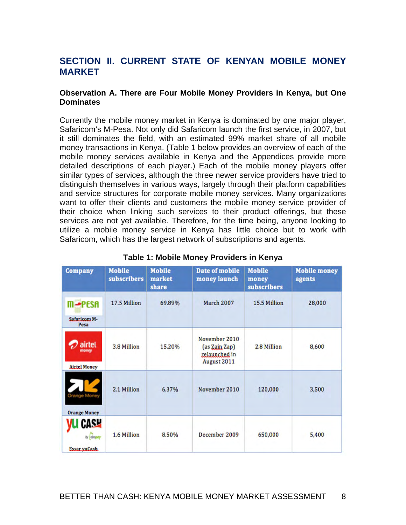# **SECTION II. CURRENT STATE OF KENYAN MOBILE MONEY MARKET**

#### **Observation A. There are Four Mobile Money Providers in Kenya, but One Dominates**

Currently the mobile money market in Kenya is dominated by one major player, Safaricom's M-Pesa. Not only did Safaricom launch the first service, in 2007, but it still dominates the field, with an estimated 99% market share of all mobile money transactions in Kenya. (Table 1 below provides an overview of each of the mobile money services available in Kenya and the Appendices provide more detailed descriptions of each player.) Each of the mobile money players offer similar types of services, although the three newer service providers have tried to distinguish themselves in various ways, largely through their platform capabilities and service structures for corporate mobile money services. Many organizations want to offer their clients and customers the mobile money service provider of their choice when linking such services to their product offerings, but these services are not yet available. Therefore, for the time being, anyone looking to utilize a mobile money service in Kenya has little choice but to work with Safaricom, which has the largest network of subscriptions and agents.

| Company                                | <b>Mobile</b><br>subscribers | <b>Mobile</b><br>market<br>share | <b>Date of mobile</b><br>money launch                          | <b>Mobile</b><br>money<br>subscribers | <b>Mobile money</b><br>agents |
|----------------------------------------|------------------------------|----------------------------------|----------------------------------------------------------------|---------------------------------------|-------------------------------|
| <b>m⊸PESA</b><br>Safaricom M-<br>Pesa  | 17.5 Million                 | 69.89%                           | <b>March 2007</b>                                              | 15.5 Million                          | 28,000                        |
| airtet<br>money<br><b>Airtel Money</b> | 3.8 Million                  | 15.20%                           | November 2010<br>(as Zain Zap)<br>relaunched in<br>August 2011 | 2.8 Million                           | 8,600                         |
| Orange Money<br><b>Orange Money</b>    | 2.1 Million                  | 6.37%                            | November 2010                                                  | 120,000                               | 3,500                         |
| CASH<br>by abaptry<br>Essar yuCash     | 1.6 Million                  | 8.50%                            | December 2009                                                  | 650,000                               | 5,400                         |

#### **Table 1: Mobile Money Providers in Kenya**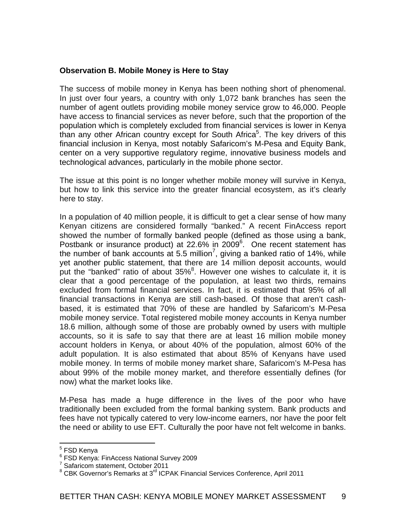### **Observation B. Mobile Money is Here to Stay**

The success of mobile money in Kenya has been nothing short of phenomenal. In just over four years, a country with only 1,072 bank branches has seen the number of agent outlets providing mobile money service grow to 46,000. People have access to financial services as never before, such that the proportion of the population which is completely excluded from financial services is lower in Kenya than any other African country except for South Africa<sup>5</sup>. The key drivers of this financial inclusion in Kenya, most notably Safaricom's M-Pesa and Equity Bank, center on a very supportive regulatory regime, innovative business models and technological advances, particularly in the mobile phone sector.

The issue at this point is no longer whether mobile money will survive in Kenya, but how to link this service into the greater financial ecosystem, as it's clearly here to stay.

In a population of 40 million people, it is difficult to get a clear sense of how many Kenyan citizens are considered formally "banked." A recent FinAccess report showed the number of formally banked people (defined as those using a bank, Postbank or insurance product) at 22.6% in 2009<sup>6</sup>. One recent statement has the number of bank accounts at 5.5 million<sup>7</sup>, giving a banked ratio of 14%, while yet another public statement, that there are 14 million deposit accounts, would put the "banked" ratio of about  $35\%$ <sup>8</sup>. However one wishes to calculate it, it is clear that a good percentage of the population, at least two thirds, remains excluded from formal financial services. In fact, it is estimated that 95% of all financial transactions in Kenya are still cash-based. Of those that aren't cashbased, it is estimated that 70% of these are handled by Safaricom's M-Pesa mobile money service. Total registered mobile money accounts in Kenya number 18.6 million, although some of those are probably owned by users with multiple accounts, so it is safe to say that there are at least 16 million mobile money account holders in Kenya, or about 40% of the population, almost 60% of the adult population. It is also estimated that about 85% of Kenyans have used mobile money. In terms of mobile money market share, Safaricom's M-Pesa has about 99% of the mobile money market, and therefore essentially defines (for now) what the market looks like.

M-Pesa has made a huge difference in the lives of the poor who have traditionally been excluded from the formal banking system. Bank products and fees have not typically catered to very low-income earners, nor have the poor felt the need or ability to use EFT. Culturally the poor have not felt welcome in banks.

<sup>&</sup>lt;u>s</u><br><sup>5</sup> FSD Kenya

<sup>6</sup> FSD Kenya: FinAccess National Survey 2009

<sup>&</sup>lt;sup>7</sup> Safaricom statement, October 2011

<sup>&</sup>lt;sup>8</sup> CBK Governor's Remarks at 3<sup>rd</sup> ICPAK Financial Services Conference, April 2011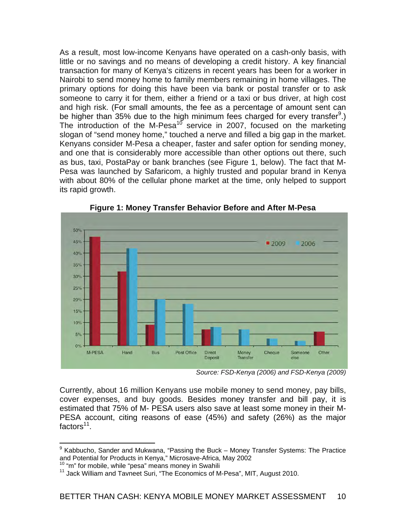As a result, most low-income Kenyans have operated on a cash-only basis, with little or no savings and no means of developing a credit history. A key financial transaction for many of Kenya's citizens in recent years has been for a worker in Nairobi to send money home to family members remaining in home villages. The primary options for doing this have been via bank or postal transfer or to ask someone to carry it for them, either a friend or a taxi or bus driver, at high cost and high risk. (For small amounts, the fee as a percentage of amount sent can be higher than 35% due to the high minimum fees charged for every transfer<sup>9</sup>.) The introduction of the M-Pesa<sup>10</sup> service in 2007, focused on the marketing slogan of "send money home," touched a nerve and filled a big gap in the market. Kenyans consider M-Pesa a cheaper, faster and safer option for sending money, and one that is considerably more accessible than other options out there, such as bus, taxi, PostaPay or bank branches (see Figure 1, below). The fact that M-Pesa was launched by Safaricom, a highly trusted and popular brand in Kenya with about 80% of the cellular phone market at the time, only helped to support its rapid growth.



**Figure 1: Money Transfer Behavior Before and After M-Pesa** 

*Source: FSD-Kenya (2006) and FSD-Kenya (2009)* 

Currently, about 16 million Kenyans use mobile money to send money, pay bills, cover expenses, and buy goods. Besides money transfer and bill pay, it is estimated that 75% of M- PESA users also save at least some money in their M-PESA account, citing reasons of ease (45%) and safety (26%) as the major factors<sup>11</sup>.

 9 Kabbucho, Sander and Mukwana, "Passing the Buck – Money Transfer Systems: The Practice and Potential for Products in Kenya," Microsave-Africa, May 2002<br><sup>10</sup> "m" for mobile, while "pesa" means money in Swahili 11 Jack William and Tavneet Suri, "The Economics of M-Pesa", MIT, August 2010.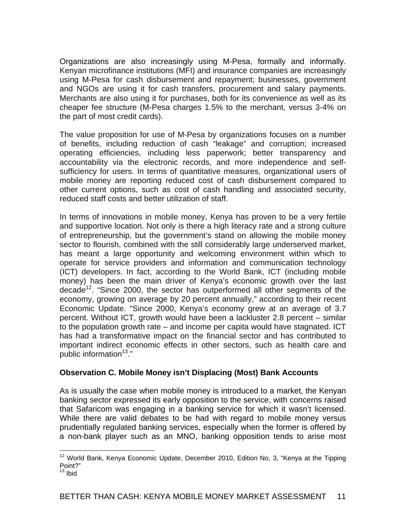Organizations are also increasingly using M-Pesa, formally and informally. Kenyan microfinance institutions (MFI) and insurance companies are increasingly using M-Pesa for cash disbursement and repayment; businesses, government and NGOs are using it for cash transfers, procurement and salary payments. Merchants are also using it for purchases, both for its convenience as well as its cheaper fee structure (M-Pesa charges 1.5% to the merchant, versus 3-4% on the part of most credit cards).

The value proposition for use of M-Pesa by organizations focuses on a number of benefits, including reduction of cash "leakage" and corruption; increased operating efficiencies, including less paperwork; better transparency and accountability via the electronic records, and more independence and selfsufficiency for users. In terms of quantitative measures, organizational users of mobile money are reporting reduced cost of cash disbursement compared to other current options, such as cost of cash handling and associated security, reduced staff costs and better utilization of staff.

In terms of innovations in mobile money, Kenya has proven to be a very fertile and supportive location. Not only is there a high literacy rate and a strong culture of entrepreneurship, but the government's stand on allowing the mobile money sector to flourish, combined with the still considerably large underserved market, has meant a large opportunity and welcoming environment within which to operate for service providers and information and communication technology (ICT) developers. In fact, according to the World Bank, ICT (including mobile money) has been the main driver of Kenya's economic growth over the last decade<sup>12</sup>. "Since 2000, the sector has outperformed all other segments of the economy, growing on average by 20 percent annually," according to their recent Economic Update. "Since 2000, Kenya's economy grew at an average of 3.7 percent. Without ICT, growth would have been a lackluster 2.8 percent – similar to the population growth rate – and income per capita would have stagnated. ICT has had a transformative impact on the financial sector and has contributed to important indirect economic effects in other sectors, such as health care and public information $13.$ "

## **Observation C. Mobile Money isn't Displacing (Most) Bank Accounts**

As is usually the case when mobile money is introduced to a market, the Kenyan banking sector expressed its early opposition to the service, with concerns raised that Safaricom was engaging in a banking service for which it wasn't licensed. While there are valid debates to be had with regard to mobile money versus prudentially regulated banking services, especially when the former is offered by a non-bank player such as an MNO, banking opposition tends to arise most

 $\overline{a}$  $12$  World Bank, Kenya Economic Update, December 2010, Edition No, 3, "Kenya at the Tipping Point?"

 $13$  Ibid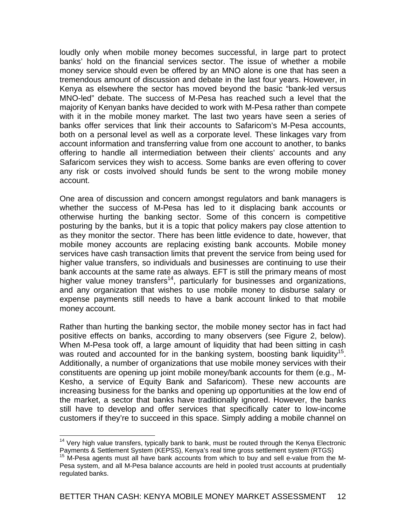loudly only when mobile money becomes successful, in large part to protect banks' hold on the financial services sector. The issue of whether a mobile money service should even be offered by an MNO alone is one that has seen a tremendous amount of discussion and debate in the last four years. However, in Kenya as elsewhere the sector has moved beyond the basic "bank-led versus MNO-led" debate. The success of M-Pesa has reached such a level that the majority of Kenyan banks have decided to work with M-Pesa rather than compete with it in the mobile money market. The last two years have seen a series of banks offer services that link their accounts to Safaricom's M-Pesa accounts, both on a personal level as well as a corporate level. These linkages vary from account information and transferring value from one account to another, to banks offering to handle all intermediation between their clients' accounts and any Safaricom services they wish to access. Some banks are even offering to cover any risk or costs involved should funds be sent to the wrong mobile money account.

One area of discussion and concern amongst regulators and bank managers is whether the success of M-Pesa has led to it displacing bank accounts or otherwise hurting the banking sector. Some of this concern is competitive posturing by the banks, but it is a topic that policy makers pay close attention to as they monitor the sector. There has been little evidence to date, however, that mobile money accounts are replacing existing bank accounts. Mobile money services have cash transaction limits that prevent the service from being used for higher value transfers, so individuals and businesses are continuing to use their bank accounts at the same rate as always. EFT is still the primary means of most higher value money transfers<sup>14</sup>, particularly for businesses and organizations, and any organization that wishes to use mobile money to disburse salary or expense payments still needs to have a bank account linked to that mobile money account.

Rather than hurting the banking sector, the mobile money sector has in fact had positive effects on banks, according to many observers (see Figure 2, below). When M-Pesa took off, a large amount of liquidity that had been sitting in cash was routed and accounted for in the banking system, boosting bank liquidity<sup>15</sup>. Additionally, a number of organizations that use mobile money services with their constituents are opening up joint mobile money/bank accounts for them (e.g., M-Kesho, a service of Equity Bank and Safaricom). These new accounts are increasing business for the banks and opening up opportunities at the low end of the market, a sector that banks have traditionally ignored. However, the banks still have to develop and offer services that specifically cater to low-income customers if they're to succeed in this space. Simply adding a mobile channel on

<sup>1</sup>  $14$  Very high value transfers, typically bank to bank, must be routed through the Kenya Electronic Payments & Settlement System (KEPSS), Kenya's real time gross settlement system (RTGS)<br><sup>15</sup> M-Pesa agents must all have bank accounts from which to buy and sell e-value from the M-

Pesa system, and all M-Pesa balance accounts are held in pooled trust accounts at prudentially regulated banks.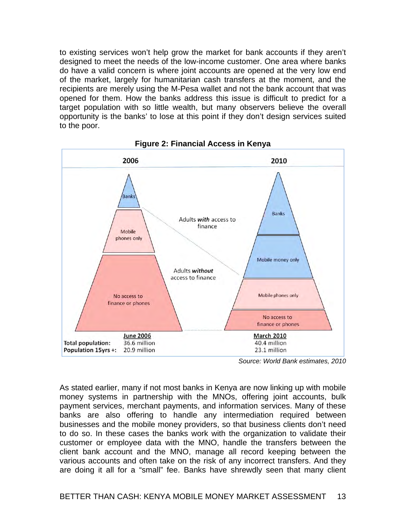to existing services won't help grow the market for bank accounts if they aren't designed to meet the needs of the low-income customer. One area where banks do have a valid concern is where joint accounts are opened at the very low end of the market, largely for humanitarian cash transfers at the moment, and the recipients are merely using the M-Pesa wallet and not the bank account that was opened for them. How the banks address this issue is difficult to predict for a target population with so little wealth, but many observers believe the overall opportunity is the banks' to lose at this point if they don't design services suited to the poor.



**Figure 2: Financial Access in Kenya** 

*Source: World Bank estimates, 2010* 

As stated earlier, many if not most banks in Kenya are now linking up with mobile money systems in partnership with the MNOs, offering joint accounts, bulk payment services, merchant payments, and information services. Many of these banks are also offering to handle any intermediation required between businesses and the mobile money providers, so that business clients don't need to do so. In these cases the banks work with the organization to validate their customer or employee data with the MNO, handle the transfers between the client bank account and the MNO, manage all record keeping between the various accounts and often take on the risk of any incorrect transfers. And they are doing it all for a "small" fee. Banks have shrewdly seen that many client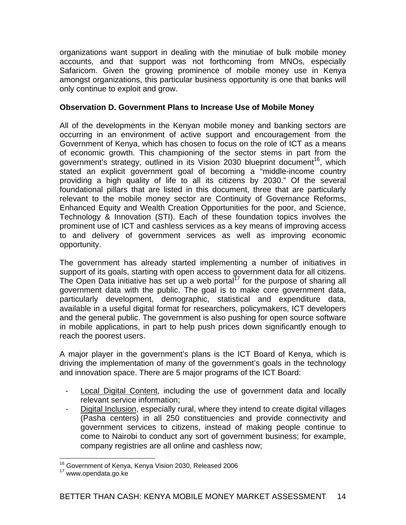organizations want support in dealing with the minutiae of bulk mobile money accounts, and that support was not forthcoming from MNOs, especially Safaricom. Given the growing prominence of mobile money use in Kenya amongst organizations, this particular business opportunity is one that banks will only continue to exploit and grow.

## **Observation D. Government Plans to Increase Use of Mobile Money**

All of the developments in the Kenyan mobile money and banking sectors are occurring in an environment of active support and encouragement from the Government of Kenya, which has chosen to focus on the role of ICT as a means of economic growth. This championing of the sector stems in part from the government's strategy, outlined in its Vision 2030 blueprint document<sup>16</sup>, which stated an explicit government goal of becoming a "middle-income country providing a high quality of life to all its citizens by 2030." Of the several foundational pillars that are listed in this document, three that are particularly relevant to the mobile money sector are Continuity of Governance Reforms, Enhanced Equity and Wealth Creation Opportunities for the poor, and Science, Technology & Innovation (STI). Each of these foundation topics involves the prominent use of ICT and cashless services as a key means of improving access to and delivery of government services as well as improving economic opportunity.

The government has already started implementing a number of initiatives in support of its goals, starting with open access to government data for all citizens. The Open Data initiative has set up a web portal<sup>17</sup> for the purpose of sharing all government data with the public. The goal is to make core government data, particularly development, demographic, statistical and expenditure data, available in a useful digital format for researchers, policymakers, ICT developers and the general public. The government is also pushing for open source software in mobile applications, in part to help push prices down significantly enough to reach the poorest users.

A major player in the government's plans is the ICT Board of Kenya, which is driving the implementation of many of the government's goals in the technology and innovation space. There are 5 major programs of the ICT Board:

- Local Digital Content, including the use of government data and locally relevant service information;
- Digital Inclusion, especially rural, where they intend to create digital villages (Pasha centers) in all 250 constituencies and provide connectivity and government services to citizens, instead of making people continue to come to Nairobi to conduct any sort of government business; for example, company registries are all online and cashless now;

<sup>1</sup> <sup>16</sup> Government of Kenya, Kenya Vision 2030, Released 2006

<sup>17</sup> www.opendata.go.ke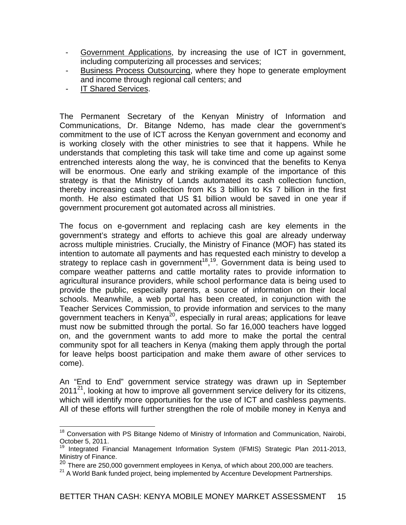- Government Applications, by increasing the use of ICT in government, including computerizing all processes and services;
- Business Process Outsourcing, where they hope to generate employment and income through regional call centers; and
- IT Shared Services.

The Permanent Secretary of the Kenyan Ministry of Information and Communications, Dr. Bitange Ndemo, has made clear the government's commitment to the use of ICT across the Kenyan government and economy and is working closely with the other ministries to see that it happens. While he understands that completing this task will take time and come up against some entrenched interests along the way, he is convinced that the benefits to Kenya will be enormous. One early and striking example of the importance of this strategy is that the Ministry of Lands automated its cash collection function, thereby increasing cash collection from Ks 3 billion to Ks 7 billion in the first month. He also estimated that US \$1 billion would be saved in one year if government procurement got automated across all ministries.

The focus on e-government and replacing cash are key elements in the government's strategy and efforts to achieve this goal are already underway across multiple ministries. Crucially, the Ministry of Finance (MOF) has stated its intention to automate all payments and has requested each ministry to develop a strategy to replace cash in government<sup>18,19</sup>. Government data is being used to compare weather patterns and cattle mortality rates to provide information to agricultural insurance providers, while school performance data is being used to provide the public, especially parents, a source of information on their local schools. Meanwhile, a web portal has been created, in conjunction with the Teacher Services Commission, to provide information and services to the many government teachers in Kenya<sup>20</sup>, especially in rural areas; applications for leave must now be submitted through the portal. So far 16,000 teachers have logged on, and the government wants to add more to make the portal the central community spot for all teachers in Kenya (making them apply through the portal for leave helps boost participation and make them aware of other services to come).

An "End to End" government service strategy was drawn up in September  $2011^{21}$ , looking at how to improve all government service delivery for its citizens, which will identify more opportunities for the use of ICT and cashless payments. All of these efforts will further strengthen the role of mobile money in Kenya and

 $\overline{a}$ <sup>18</sup> Conversation with PS Bitange Ndemo of Ministry of Information and Communication, Nairobi, October 5, 2011.

Integrated Financial Management Information System (IFMIS) Strategic Plan 2011-2013, Ministry of Finance.

 $20$  There are 250,000 government employees in Kenya, of which about 200,000 are teachers.

<sup>&</sup>lt;sup>21</sup> A World Bank funded project, being implemented by Accenture Development Partnerships.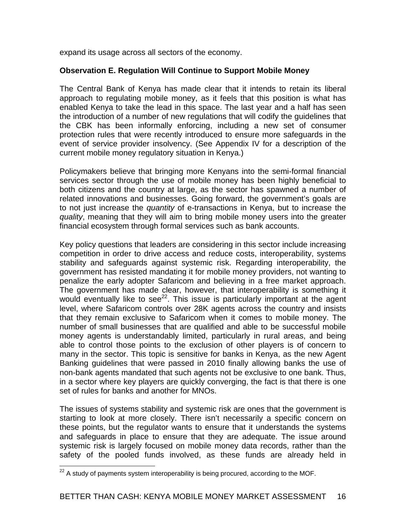expand its usage across all sectors of the economy.

### **Observation E. Regulation Will Continue to Support Mobile Money**

The Central Bank of Kenya has made clear that it intends to retain its liberal approach to regulating mobile money, as it feels that this position is what has enabled Kenya to take the lead in this space. The last year and a half has seen the introduction of a number of new regulations that will codify the guidelines that the CBK has been informally enforcing, including a new set of consumer protection rules that were recently introduced to ensure more safeguards in the event of service provider insolvency. (See Appendix IV for a description of the current mobile money regulatory situation in Kenya.)

Policymakers believe that bringing more Kenyans into the semi-formal financial services sector through the use of mobile money has been highly beneficial to both citizens and the country at large, as the sector has spawned a number of related innovations and businesses. Going forward, the government's goals are to not just increase the *quantity* of e-transactions in Kenya, but to increase the *quality*, meaning that they will aim to bring mobile money users into the greater financial ecosystem through formal services such as bank accounts.

Key policy questions that leaders are considering in this sector include increasing competition in order to drive access and reduce costs, interoperability, systems stability and safeguards against systemic risk. Regarding interoperability, the government has resisted mandating it for mobile money providers, not wanting to penalize the early adopter Safaricom and believing in a free market approach. The government has made clear, however, that interoperability is something it would eventually like to see<sup>22</sup>. This issue is particularly important at the agent level, where Safaricom controls over 28K agents across the country and insists that they remain exclusive to Safaricom when it comes to mobile money. The number of small businesses that are qualified and able to be successful mobile money agents is understandably limited, particularly in rural areas, and being able to control those points to the exclusion of other players is of concern to many in the sector. This topic is sensitive for banks in Kenya, as the new Agent Banking guidelines that were passed in 2010 finally allowing banks the use of non-bank agents mandated that such agents not be exclusive to one bank. Thus, in a sector where key players are quickly converging, the fact is that there is one set of rules for banks and another for MNOs.

The issues of systems stability and systemic risk are ones that the government is starting to look at more closely. There isn't necessarily a specific concern on these points, but the regulator wants to ensure that it understands the systems and safeguards in place to ensure that they are adequate. The issue around systemic risk is largely focused on mobile money data records, rather than the safety of the pooled funds involved, as these funds are already held in

 $\overline{a}$  $^{22}$  A study of payments system interoperability is being procured, according to the MOF.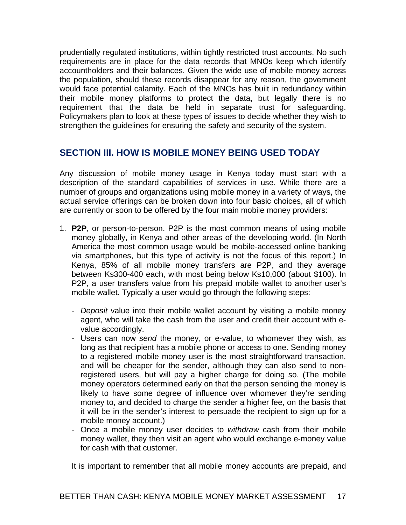prudentially regulated institutions, within tightly restricted trust accounts. No such requirements are in place for the data records that MNOs keep which identify accountholders and their balances. Given the wide use of mobile money across the population, should these records disappear for any reason, the government would face potential calamity. Each of the MNOs has built in redundancy within their mobile money platforms to protect the data, but legally there is no requirement that the data be held in separate trust for safeguarding. Policymakers plan to look at these types of issues to decide whether they wish to strengthen the guidelines for ensuring the safety and security of the system.

## **SECTION III. HOW IS MOBILE MONEY BEING USED TODAY**

Any discussion of mobile money usage in Kenya today must start with a description of the standard capabilities of services in use. While there are a number of groups and organizations using mobile money in a variety of ways, the actual service offerings can be broken down into four basic choices, all of which are currently or soon to be offered by the four main mobile money providers:

- 1. **P2P**, or person-to-person. P2P is the most common means of using mobile money globally, in Kenya and other areas of the developing world. (In North America the most common usage would be mobile-accessed online banking via smartphones, but this type of activity is not the focus of this report.) In Kenya, 85% of all mobile money transfers are P2P, and they average between Ks300-400 each, with most being below Ks10,000 (about \$100). In P2P, a user transfers value from his prepaid mobile wallet to another user's mobile wallet. Typically a user would go through the following steps:
	- *Deposit* value into their mobile wallet account by visiting a mobile money agent, who will take the cash from the user and credit their account with evalue accordingly.
	- Users can now *send* the money, or e-value, to whomever they wish, as long as that recipient has a mobile phone or access to one. Sending money to a registered mobile money user is the most straightforward transaction, and will be cheaper for the sender, although they can also send to nonregistered users, but will pay a higher charge for doing so. (The mobile money operators determined early on that the person sending the money is likely to have some degree of influence over whomever they're sending money to, and decided to charge the sender a higher fee, on the basis that it will be in the sender's interest to persuade the recipient to sign up for a mobile money account.)
	- Once a mobile money user decides to *withdraw* cash from their mobile money wallet, they then visit an agent who would exchange e-money value for cash with that customer.

It is important to remember that all mobile money accounts are prepaid, and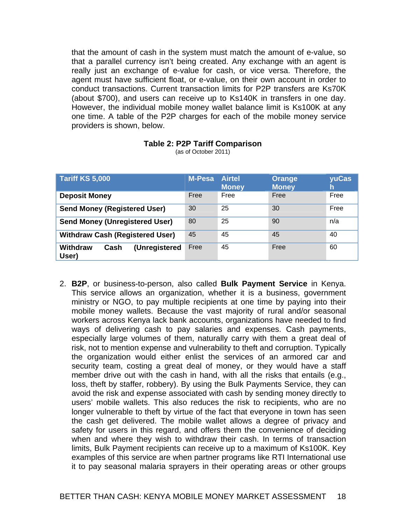that the amount of cash in the system must match the amount of e-value, so that a parallel currency isn't being created. Any exchange with an agent is really just an exchange of e-value for cash, or vice versa. Therefore, the agent must have sufficient float, or e-value, on their own account in order to conduct transactions. Current transaction limits for P2P transfers are Ks70K (about \$700), and users can receive up to Ks140K in transfers in one day. However, the individual mobile money wallet balance limit is Ks100K at any one time. A table of the P2P charges for each of the mobile money service providers is shown, below.

| Tariff KS 5,000                                   | <b>M-Pesa</b> | <b>Airtel</b><br><b>Money</b> | Orange<br><b>Money</b> | yuCas<br>h |
|---------------------------------------------------|---------------|-------------------------------|------------------------|------------|
| <b>Deposit Money</b>                              | Free          | Free                          | Free                   | Free       |
| <b>Send Money (Registered User)</b>               | 30            | 25                            | 30                     | Free       |
| <b>Send Money (Unregistered User)</b>             | 80            | 25                            | 90                     | n/a        |
| <b>Withdraw Cash (Registered User)</b>            | 45            | 45                            | 45                     | 40         |
| <b>Withdraw</b><br>(Unregistered<br>Cash<br>User) | Free          | 45                            | Free                   | 60         |

#### **Table 2: P2P Tariff Comparison**

(as of October 2011)

2. **B2P**, or business-to-person, also called **Bulk Payment Service** in Kenya. This service allows an organization, whether it is a business, government ministry or NGO, to pay multiple recipients at one time by paying into their mobile money wallets. Because the vast majority of rural and/or seasonal workers across Kenya lack bank accounts, organizations have needed to find ways of delivering cash to pay salaries and expenses. Cash payments, especially large volumes of them, naturally carry with them a great deal of risk, not to mention expense and vulnerability to theft and corruption. Typically the organization would either enlist the services of an armored car and security team, costing a great deal of money, or they would have a staff member drive out with the cash in hand, with all the risks that entails (e.g., loss, theft by staffer, robbery). By using the Bulk Payments Service, they can avoid the risk and expense associated with cash by sending money directly to users' mobile wallets. This also reduces the risk to recipients, who are no longer vulnerable to theft by virtue of the fact that everyone in town has seen the cash get delivered. The mobile wallet allows a degree of privacy and safety for users in this regard, and offers them the convenience of deciding when and where they wish to withdraw their cash. In terms of transaction limits, Bulk Payment recipients can receive up to a maximum of Ks100K. Key examples of this service are when partner programs like RTI International use it to pay seasonal malaria sprayers in their operating areas or other groups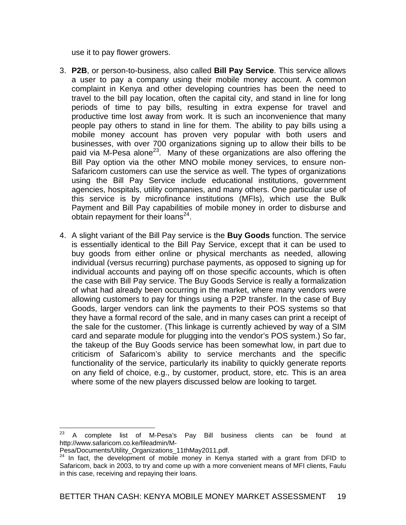use it to pay flower growers.

- 3. **P2B**, or person-to-business, also called **Bill Pay Service**. This service allows a user to pay a company using their mobile money account. A common complaint in Kenya and other developing countries has been the need to travel to the bill pay location, often the capital city, and stand in line for long periods of time to pay bills, resulting in extra expense for travel and productive time lost away from work. It is such an inconvenience that many people pay others to stand in line for them. The ability to pay bills using a mobile money account has proven very popular with both users and businesses, with over 700 organizations signing up to allow their bills to be paid via M-Pesa alone<sup>23</sup>. Many of these organizations are also offering the Bill Pay option via the other MNO mobile money services, to ensure non-Safaricom customers can use the service as well. The types of organizations using the Bill Pay Service include educational institutions, government agencies, hospitals, utility companies, and many others. One particular use of this service is by microfinance institutions (MFIs), which use the Bulk Payment and Bill Pay capabilities of mobile money in order to disburse and obtain repayment for their loans $^{24}$ .
- 4. A slight variant of the Bill Pay service is the **Buy Goods** function. The service is essentially identical to the Bill Pay Service, except that it can be used to buy goods from either online or physical merchants as needed, allowing individual (versus recurring) purchase payments, as opposed to signing up for individual accounts and paying off on those specific accounts, which is often the case with Bill Pay service. The Buy Goods Service is really a formalization of what had already been occurring in the market, where many vendors were allowing customers to pay for things using a P2P transfer. In the case of Buy Goods, larger vendors can link the payments to their POS systems so that they have a formal record of the sale, and in many cases can print a receipt of the sale for the customer. (This linkage is currently achieved by way of a SIM card and separate module for plugging into the vendor's POS system.) So far, the takeup of the Buy Goods service has been somewhat low, in part due to criticism of Safaricom's ability to service merchants and the specific functionality of the service, particularly its inability to quickly generate reports on any field of choice, e.g., by customer, product, store, etc. This is an area where some of the new players discussed below are looking to target.

<sup>23</sup> 23 A complete list of M-Pesa's Pay Bill business clients can be found at http://www.safaricom.co.ke/fileadmin/M-

Pesa/Documents/Utility Organizations 11thMay2011.pdf.

 $24$  In fact, the development of mobile money in Kenya started with a grant from DFID to Safaricom, back in 2003, to try and come up with a more convenient means of MFI clients, Faulu in this case, receiving and repaying their loans.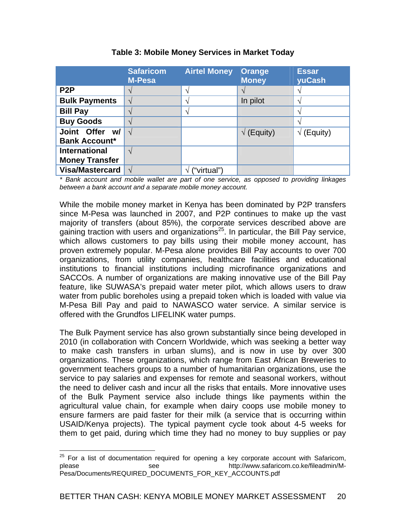|                        | <b>Safaricom</b><br><b>M-Pesa</b> | <b>Airtel Money</b>    | <b>Orange</b><br><b>Money</b> | <b>Essar</b><br>yuCash   |
|------------------------|-----------------------------------|------------------------|-------------------------------|--------------------------|
| P <sub>2</sub> P       | V                                 | $\mathcal{N}$          |                               |                          |
| <b>Bulk Payments</b>   | $\sqrt{ }$                        | $\Delta$               | In pilot                      | $\overline{\phantom{a}}$ |
| <b>Bill Pay</b>        | $\mathcal{N}$                     | $\boldsymbol{\Lambda}$ |                               | へ                        |
| <b>Buy Goods</b>       | $\gamma$                          |                        |                               | へ                        |
| Joint Offer w/         | $\sqrt{}$                         |                        | $\sqrt{}$ (Equity)            | (Equity)<br>V            |
| <b>Bank Account*</b>   |                                   |                        |                               |                          |
| <b>International</b>   | $\sqrt{ }$                        |                        |                               |                          |
| <b>Money Transfer</b>  |                                   |                        |                               |                          |
| <b>Visa/Mastercard</b> | $\mathcal{N}$                     | ("virtual")            |                               |                          |

## **Table 3: Mobile Money Services in Market Today**

*\* Bank account and mobile wallet are part of one service, as opposed to providing linkages between a bank account and a separate mobile money account.* 

While the mobile money market in Kenya has been dominated by P2P transfers since M-Pesa was launched in 2007, and P2P continues to make up the vast majority of transfers (about 85%), the corporate services described above are gaining traction with users and organizations<sup>25</sup>. In particular, the Bill Pay service, which allows customers to pay bills using their mobile money account, has proven extremely popular. M-Pesa alone provides Bill Pay accounts to over 700 organizations, from utility companies, healthcare facilities and educational institutions to financial institutions including microfinance organizations and SACCOs. A number of organizations are making innovative use of the Bill Pay feature, like SUWASA's prepaid water meter pilot, which allows users to draw water from public boreholes using a prepaid token which is loaded with value via M-Pesa Bill Pay and paid to NAWASCO water service. A similar service is offered with the Grundfos LIFELINK water pumps.

The Bulk Payment service has also grown substantially since being developed in 2010 (in collaboration with Concern Worldwide, which was seeking a better way to make cash transfers in urban slums), and is now in use by over 300 organizations. These organizations, which range from East African Breweries to government teachers groups to a number of humanitarian organizations, use the service to pay salaries and expenses for remote and seasonal workers, without the need to deliver cash and incur all the risks that entails. More innovative uses of the Bulk Payment service also include things like payments within the agricultural value chain, for example when dairy coops use mobile money to ensure farmers are paid faster for their milk (a service that is occurring within USAID/Kenya projects). The typical payment cycle took about 4-5 weeks for them to get paid, during which time they had no money to buy supplies or pay

 $\overline{a}$ <sup>25</sup> For a list of documentation required for opening a key corporate account with Safaricom,<br>please **http://www.safaricom.co.ke/fileadmin/M**see http://www.safaricom.co.ke/fileadmin/M-Pesa/Documents/REQUIRED\_DOCUMENTS\_FOR\_KEY\_ACCOUNTS.pdf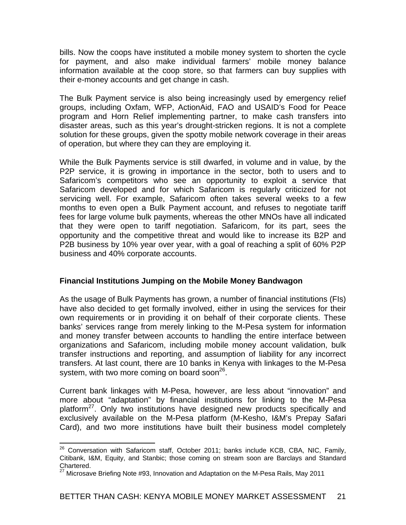bills. Now the coops have instituted a mobile money system to shorten the cycle for payment, and also make individual farmers' mobile money balance information available at the coop store, so that farmers can buy supplies with their e-money accounts and get change in cash.

The Bulk Payment service is also being increasingly used by emergency relief groups, including Oxfam, WFP, ActionAid, FAO and USAID's Food for Peace program and Horn Relief implementing partner, to make cash transfers into disaster areas, such as this year's drought-stricken regions. It is not a complete solution for these groups, given the spotty mobile network coverage in their areas of operation, but where they can they are employing it.

While the Bulk Payments service is still dwarfed, in volume and in value, by the P2P service, it is growing in importance in the sector, both to users and to Safaricom's competitors who see an opportunity to exploit a service that Safaricom developed and for which Safaricom is regularly criticized for not servicing well. For example, Safaricom often takes several weeks to a few months to even open a Bulk Payment account, and refuses to negotiate tariff fees for large volume bulk payments, whereas the other MNOs have all indicated that they were open to tariff negotiation. Safaricom, for its part, sees the opportunity and the competitive threat and would like to increase its B2P and P2B business by 10% year over year, with a goal of reaching a split of 60% P2P business and 40% corporate accounts.

#### **Financial Institutions Jumping on the Mobile Money Bandwagon**

As the usage of Bulk Payments has grown, a number of financial institutions (FIs) have also decided to get formally involved, either in using the services for their own requirements or in providing it on behalf of their corporate clients. These banks' services range from merely linking to the M-Pesa system for information and money transfer between accounts to handling the entire interface between organizations and Safaricom, including mobile money account validation, bulk transfer instructions and reporting, and assumption of liability for any incorrect transfers. At last count, there are 10 banks in Kenya with linkages to the M-Pesa system, with two more coming on board soon $26$ .

Current bank linkages with M-Pesa, however, are less about "innovation" and more about "adaptation" by financial institutions for linking to the M-Pesa platform $^{27}$ . Only two institutions have designed new products specifically and exclusively available on the M-Pesa platform (M-Kesho, I&M's Prepay Safari Card), and two more institutions have built their business model completely

<sup>1</sup>  $26$  Conversation with Safaricom staff, October 2011; banks include KCB, CBA, NIC, Family, Citibank, I&M, Equity, and Stanbic; those coming on stream soon are Barclays and Standard Chartered.

<sup>27</sup> Microsave Briefing Note #93, Innovation and Adaptation on the M-Pesa Rails, May 2011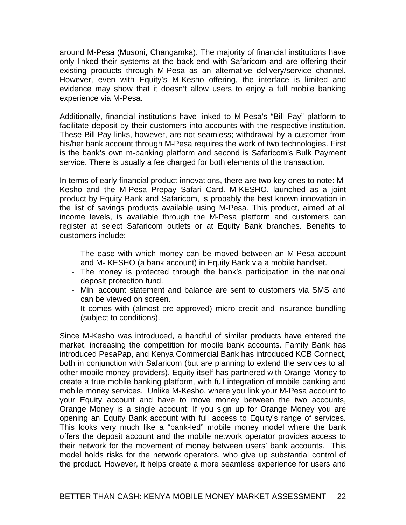around M-Pesa (Musoni, Changamka). The majority of financial institutions have only linked their systems at the back-end with Safaricom and are offering their existing products through M-Pesa as an alternative delivery/service channel. However, even with Equity's M-Kesho offering, the interface is limited and evidence may show that it doesn't allow users to enjoy a full mobile banking experience via M-Pesa.

Additionally, financial institutions have linked to M-Pesa's "Bill Pay" platform to facilitate deposit by their customers into accounts with the respective institution. These Bill Pay links, however, are not seamless; withdrawal by a customer from his/her bank account through M-Pesa requires the work of two technologies. First is the bank's own m-banking platform and second is Safaricom's Bulk Payment service. There is usually a fee charged for both elements of the transaction.

In terms of early financial product innovations, there are two key ones to note: M-Kesho and the M-Pesa Prepay Safari Card. M-KESHO, launched as a joint product by Equity Bank and Safaricom, is probably the best known innovation in the list of savings products available using M-Pesa. This product, aimed at all income levels, is available through the M-Pesa platform and customers can register at select Safaricom outlets or at Equity Bank branches. Benefits to customers include:

- The ease with which money can be moved between an M-Pesa account and M- KESHO (a bank account) in Equity Bank via a mobile handset.
- The money is protected through the bank's participation in the national deposit protection fund.
- Mini account statement and balance are sent to customers via SMS and can be viewed on screen.
- It comes with (almost pre-approved) micro credit and insurance bundling (subject to conditions).

Since M-Kesho was introduced, a handful of similar products have entered the market, increasing the competition for mobile bank accounts. Family Bank has introduced PesaPap, and Kenya Commercial Bank has introduced KCB Connect, both in conjunction with Safaricom (but are planning to extend the services to all other mobile money providers). Equity itself has partnered with Orange Money to create a true mobile banking platform, with full integration of mobile banking and mobile money services. Unlike M-Kesho, where you link your M-Pesa account to your Equity account and have to move money between the two accounts, Orange Money is a single account; If you sign up for Orange Money you are opening an Equity Bank account with full access to Equity's range of services. This looks very much like a "bank-led" mobile money model where the bank offers the deposit account and the mobile network operator provides access to their network for the movement of money between users' bank accounts. This model holds risks for the network operators, who give up substantial control of the product. However, it helps create a more seamless experience for users and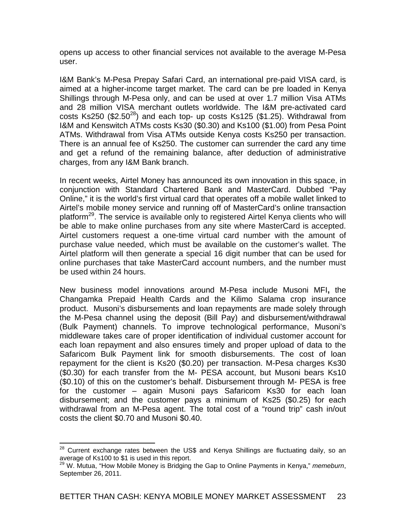opens up access to other financial services not available to the average M-Pesa user.

I&M Bank's M-Pesa Prepay Safari Card, an international pre-paid VISA card, is aimed at a higher-income target market. The card can be pre loaded in Kenya Shillings through M-Pesa only, and can be used at over 1.7 million Visa ATMs and 28 million VISA merchant outlets worldwide. The I&M pre-activated card  $\frac{25}{100}$   $\frac{25}{100}$  (\$2.50<sup>28</sup>) and each top- up costs Ks125 (\$1.25). Withdrawal from I&M and Kenswitch ATMs costs Ks30 (\$0.30) and Ks100 (\$1.00) from Pesa Point ATMs. Withdrawal from Visa ATMs outside Kenya costs Ks250 per transaction. There is an annual fee of Ks250. The customer can surrender the card any time and get a refund of the remaining balance, after deduction of administrative charges, from any I&M Bank branch.

In recent weeks, Airtel Money has announced its own innovation in this space, in conjunction with Standard Chartered Bank and MasterCard. Dubbed "Pay Online," it is the world's first virtual card that operates off a mobile wallet linked to Airtel's mobile money service and running off of MasterCard's online transaction platform<sup>29</sup>. The service is available only to registered Airtel Kenya clients who will be able to make online purchases from any site where MasterCard is accepted. Airtel customers request a one-time virtual card number with the amount of purchase value needed, which must be available on the customer's wallet. The Airtel platform will then generate a special 16 digit number that can be used for online purchases that take MasterCard account numbers, and the number must be used within 24 hours.

New business model innovations around M-Pesa include Musoni MFI**,** the Changamka Prepaid Health Cards and the Kilimo Salama crop insurance product. Musoni's disbursements and loan repayments are made solely through the M-Pesa channel using the deposit (Bill Pay) and disbursement/withdrawal (Bulk Payment) channels. To improve technological performance, Musoni's middleware takes care of proper identification of individual customer account for each loan repayment and also ensures timely and proper upload of data to the Safaricom Bulk Payment link for smooth disbursements. The cost of loan repayment for the client is Ks20 (\$0.20) per transaction. M-Pesa charges Ks30 (\$0.30) for each transfer from the M- PESA account, but Musoni bears Ks10 (\$0.10) of this on the customer's behalf. Disbursement through M- PESA is free for the customer – again Musoni pays Safaricom Ks30 for each loan disbursement; and the customer pays a minimum of Ks25 (\$0.25) for each withdrawal from an M-Pesa agent. The total cost of a "round trip" cash in/out costs the client \$0.70 and Musoni \$0.40.

1

 $^{28}$  Current exchange rates between the US\$ and Kenya Shillings are fluctuating daily, so an average of Ks100 to \$1 is used in this report.

<sup>29</sup> W. Mutua, "How Mobile Money is Bridging the Gap to Online Payments in Kenya," *memeburn*, September 26, 2011.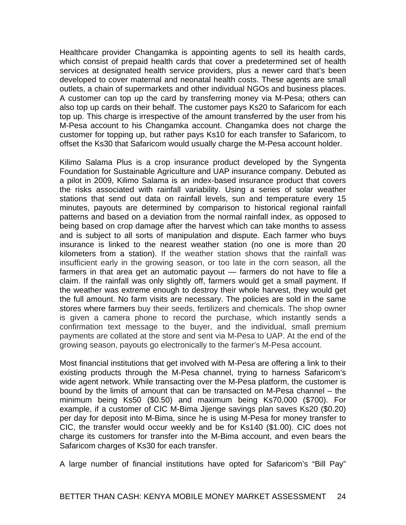Healthcare provider Changamka is appointing agents to sell its health cards, which consist of prepaid health cards that cover a predetermined set of health services at designated health service providers, plus a newer card that's been developed to cover maternal and neonatal health costs. These agents are small outlets, a chain of supermarkets and other individual NGOs and business places. A customer can top up the card by transferring money via M-Pesa; others can also top up cards on their behalf. The customer pays Ks20 to Safaricom for each top up. This charge is irrespective of the amount transferred by the user from his M-Pesa account to his Changamka account. Changamka does not charge the customer for topping up, but rather pays Ks10 for each transfer to Safaricom, to offset the Ks30 that Safaricom would usually charge the M-Pesa account holder.

Kilimo Salama Plus is a crop insurance product developed by the Syngenta Foundation for Sustainable Agriculture and UAP insurance company. Debuted as a pilot in 2009, Kilimo Salama is an index-based insurance product that covers the risks associated with rainfall variability. Using a series of solar weather stations that send out data on rainfall levels, sun and temperature every 15 minutes, payouts are determined by comparison to historical regional rainfall patterns and based on a deviation from the normal rainfall index, as opposed to being based on crop damage after the harvest which can take months to assess and is subject to all sorts of manipulation and dispute. Each farmer who buys insurance is linked to the nearest weather station (no one is more than 20 kilometers from a station). If the weather station shows that the rainfall was insufficient early in the growing season, or too late in the corn season, all the farmers in that area get an automatic payout — farmers do not have to file a claim. If the rainfall was only slightly off, farmers would get a small payment. If the weather was extreme enough to destroy their whole harvest, they would get the full amount. No farm visits are necessary. The policies are sold in the same stores where farmers buy their seeds, fertilizers and chemicals. The shop owner is given a camera phone to record the purchase, which instantly sends a confirmation text message to the buyer, and the individual, small premium payments are collated at the store and sent via M-Pesa to UAP. At the end of the growing season, payouts go electronically to the farmer's M-Pesa account.

Most financial institutions that get involved with M-Pesa are offering a link to their existing products through the M-Pesa channel, trying to harness Safaricom's wide agent network. While transacting over the M-Pesa platform, the customer is bound by the limits of amount that can be transacted on M-Pesa channel – the minimum being Ks50 (\$0.50) and maximum being Ks70,000 (\$700). For example, if a customer of CIC M-Bima Jijenge savings plan saves Ks20 (\$0.20) per day for deposit into M-Bima, since he is using M-Pesa for money transfer to CIC, the transfer would occur weekly and be for Ks140 (\$1.00). CIC does not charge its customers for transfer into the M-Bima account, and even bears the Safaricom charges of Ks30 for each transfer.

A large number of financial institutions have opted for Safaricom's "Bill Pay"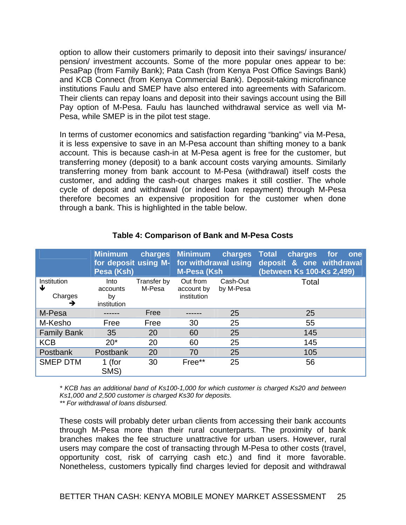option to allow their customers primarily to deposit into their savings/ insurance/ pension/ investment accounts. Some of the more popular ones appear to be: PesaPap (from Family Bank); Pata Cash (from Kenya Post Office Savings Bank) and KCB Connect (from Kenya Commercial Bank). Deposit-taking microfinance institutions Faulu and SMEP have also entered into agreements with Safaricom. Their clients can repay loans and deposit into their savings account using the Bill Pay option of M-Pesa. Faulu has launched withdrawal service as well via M-Pesa, while SMEP is in the pilot test stage.

In terms of customer economics and satisfaction regarding "banking" via M-Pesa, it is less expensive to save in an M-Pesa account than shifting money to a bank account. This is because cash-in at M-Pesa agent is free for the customer, but transferring money (deposit) to a bank account costs varying amounts. Similarly transferring money from bank account to M-Pesa (withdrawal) itself costs the customer, and adding the cash-out charges makes it still costlier. The whole cycle of deposit and withdrawal (or indeed loan repayment) through M-Pesa therefore becomes an expensive proposition for the customer when done through a bank. This is highlighted in the table below.

|                                  | <b>Minimum</b><br>Pesa (Ksh)          |                       | charges Minimum<br><b>M-Pesa (Ksh</b> | charges Total<br>for deposit using M- for withdrawal using | charges<br>for<br>one<br>deposit & one withdrawal<br>(between Ks 100-Ks 2,499) |
|----------------------------------|---------------------------------------|-----------------------|---------------------------------------|------------------------------------------------------------|--------------------------------------------------------------------------------|
| Institution<br>₩<br>Charges<br>→ | Into<br>accounts<br>by<br>institution | Transfer by<br>M-Pesa | Out from<br>account by<br>institution | Cash-Out<br>by M-Pesa                                      | Total                                                                          |
| M-Pesa                           |                                       | Free                  |                                       | 25                                                         | 25                                                                             |
| M-Kesho                          | Free                                  | Free                  | 30                                    | 25                                                         | 55                                                                             |
| <b>Family Bank</b>               | 35                                    | 20                    | 60                                    | 25                                                         | 145                                                                            |
| <b>KCB</b>                       | $20*$                                 | 20                    | 60                                    | 25                                                         | 145                                                                            |
| Postbank                         | Postbank                              | 20                    | 70                                    | 25                                                         | 105                                                                            |
| <b>SMEP DTM</b>                  | 1 (for<br>SMS)                        | 30                    | Free**                                | 25                                                         | 56                                                                             |

## **Table 4: Comparison of Bank and M-Pesa Costs**

*\* KCB has an additional band of Ks100-1,000 for which customer is charged Ks20 and between Ks1,000 and 2,500 customer is charged Ks30 for deposits.* 

*\*\* For withdrawal of loans disbursed.* 

These costs will probably deter urban clients from accessing their bank accounts through M-Pesa more than their rural counterparts. The proximity of bank branches makes the fee structure unattractive for urban users. However, rural users may compare the cost of transacting through M-Pesa to other costs (travel, opportunity cost, risk of carrying cash etc.) and find it more favorable. Nonetheless, customers typically find charges levied for deposit and withdrawal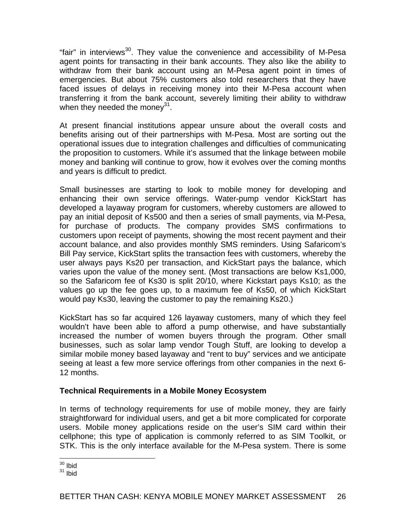"fair" in interviews<sup>30</sup>. They value the convenience and accessibility of M-Pesa agent points for transacting in their bank accounts. They also like the ability to withdraw from their bank account using an M-Pesa agent point in times of emergencies. But about 75% customers also told researchers that they have faced issues of delays in receiving money into their M-Pesa account when transferring it from the bank account, severely limiting their ability to withdraw when they needed the money<sup>31</sup>.

At present financial institutions appear unsure about the overall costs and benefits arising out of their partnerships with M-Pesa. Most are sorting out the operational issues due to integration challenges and difficulties of communicating the proposition to customers. While it's assumed that the linkage between mobile money and banking will continue to grow, how it evolves over the coming months and years is difficult to predict.

Small businesses are starting to look to mobile money for developing and enhancing their own service offerings. Water-pump vendor KickStart has developed a layaway program for customers, whereby customers are allowed to pay an initial deposit of Ks500 and then a series of small payments, via M-Pesa, for purchase of products. The company provides SMS confirmations to customers upon receipt of payments, showing the most recent payment and their account balance, and also provides monthly SMS reminders. Using Safaricom's Bill Pay service, KickStart splits the transaction fees with customers, whereby the user always pays Ks20 per transaction, and KickStart pays the balance, which varies upon the value of the money sent. (Most transactions are below Ks1,000, so the Safaricom fee of Ks30 is split 20/10, where Kickstart pays Ks10; as the values go up the fee goes up, to a maximum fee of Ks50, of which KickStart would pay Ks30, leaving the customer to pay the remaining Ks20.)

KickStart has so far acquired 126 layaway customers, many of which they feel wouldn't have been able to afford a pump otherwise, and have substantially increased the number of women buyers through the program. Other small businesses, such as solar lamp vendor Tough Stuff, are looking to develop a similar mobile money based layaway and "rent to buy" services and we anticipate seeing at least a few more service offerings from other companies in the next 6- 12 months.

## **Technical Requirements in a Mobile Money Ecosystem**

In terms of technology requirements for use of mobile money, they are fairly straightforward for individual users, and get a bit more complicated for corporate users. Mobile money applications reside on the user's SIM card within their cellphone; this type of application is commonly referred to as SIM Toolkit, or STK. This is the only interface available for the M-Pesa system. There is some

<sup>1</sup>  $30$  Ibid

 $31$  Ibid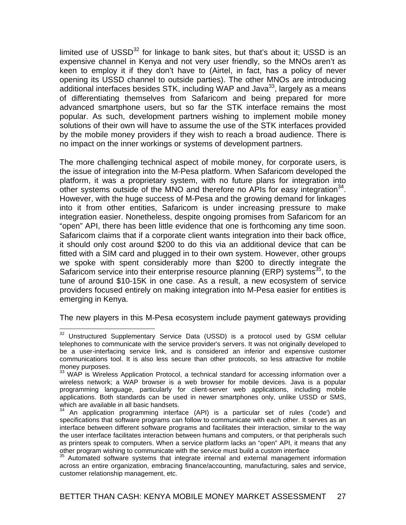limited use of  $USSD<sup>32</sup>$  for linkage to bank sites, but that's about it; USSD is an expensive channel in Kenya and not very user friendly, so the MNOs aren't as keen to employ it if they don't have to (Airtel, in fact, has a policy of never opening its USSD channel to outside parties). The other MNOs are introducing additional interfaces besides STK, including WAP and Java $^{33}$ , largely as a means of differentiating themselves from Safaricom and being prepared for more advanced smartphone users, but so far the STK interface remains the most popular. As such, development partners wishing to implement mobile money solutions of their own will have to assume the use of the STK interfaces provided by the mobile money providers if they wish to reach a broad audience. There is no impact on the inner workings or systems of development partners.

The more challenging technical aspect of mobile money, for corporate users, is the issue of integration into the M-Pesa platform. When Safaricom developed the platform, it was a proprietary system, with no future plans for integration into other systems outside of the MNO and therefore no APIs for easy integration<sup>34</sup>. However, with the huge success of M-Pesa and the growing demand for linkages into it from other entities, Safaricom is under increasing pressure to make integration easier. Nonetheless, despite ongoing promises from Safaricom for an "open" API, there has been little evidence that one is forthcoming any time soon. Safaricom claims that if a corporate client wants integration into their back office, it should only cost around \$200 to do this via an additional device that can be fitted with a SIM card and plugged in to their own system. However, other groups we spoke with spent considerably more than \$200 to directly integrate the Safaricom service into their enterprise resource planning (ERP) systems<sup>35</sup>, to the tune of around \$10-15K in one case. As a result, a new ecosystem of service providers focused entirely on making integration into M-Pesa easier for entities is emerging in Kenya.

The new players in this M-Pesa ecosystem include payment gateways providing

 $\overline{a}$ 

 $32$  Unstructured Supplementary Service Data (USSD) is a protocol used by GSM cellular telephones to communicate with the service provider's servers. It was not originally developed to be a user-interfacing service link, and is considered an inferior and expensive customer communications tool. It is also less secure than other protocols, so less attractive for mobile money purposes.

<sup>&</sup>lt;sup>33</sup> WAP is Wireless Application Protocol, a technical standard for accessing information over a wireless network; a WAP browser is a web browser for mobile devices. Java is a popular programming language, particularly for client-server web applications, including mobile applications. Both standards can be used in newer smartphones only, unlike USSD or SMS, which are available in all basic handsets.

 $34$  An application programming interface (API) is a particular set of rules ('code') and specifications that software programs can follow to communicate with each other. It serves as an interface between different software programs and facilitates their interaction, similar to the way the user interface facilitates interaction between humans and computers, or that peripherals such as printers speak to computers. When a service platform lacks an "open" API, it means that any other program wishing to communicate with the service must build a custom interface

<sup>&</sup>lt;sup>35</sup> Automated software systems that integrate internal and external management information across an entire organization, embracing finance/accounting, manufacturing, sales and service, customer relationship management, etc.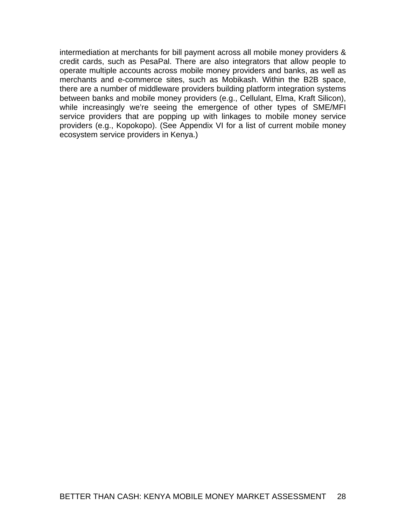intermediation at merchants for bill payment across all mobile money providers & credit cards, such as PesaPal. There are also integrators that allow people to operate multiple accounts across mobile money providers and banks, as well as merchants and e-commerce sites, such as Mobikash. Within the B2B space, there are a number of middleware providers building platform integration systems between banks and mobile money providers (e.g., Cellulant, Elma, Kraft Silicon), while increasingly we're seeing the emergence of other types of SME/MFI service providers that are popping up with linkages to mobile money service providers (e.g., Kopokopo). (See Appendix VI for a list of current mobile money ecosystem service providers in Kenya.)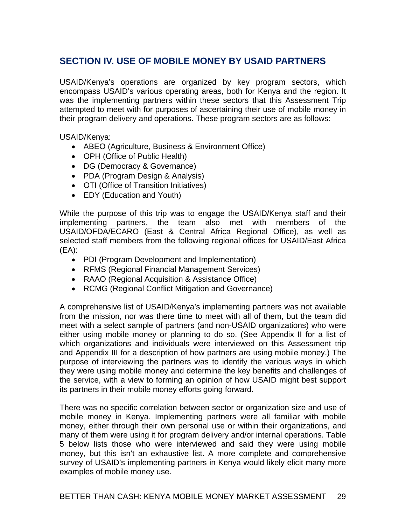# **SECTION IV. USE OF MOBILE MONEY BY USAID PARTNERS**

USAID/Kenya's operations are organized by key program sectors, which encompass USAID's various operating areas, both for Kenya and the region. It was the implementing partners within these sectors that this Assessment Trip attempted to meet with for purposes of ascertaining their use of mobile money in their program delivery and operations. These program sectors are as follows:

USAID/Kenya:

- ABEO (Agriculture, Business & Environment Office)
- OPH (Office of Public Health)
- DG (Democracy & Governance)
- PDA (Program Design & Analysis)
- OTI (Office of Transition Initiatives)
- EDY (Education and Youth)

While the purpose of this trip was to engage the USAID/Kenya staff and their implementing partners, the team also met with members of the USAID/OFDA/ECARO (East & Central Africa Regional Office), as well as selected staff members from the following regional offices for USAID/East Africa (EA):

- PDI (Program Development and Implementation)
- RFMS (Regional Financial Management Services)
- RAAO (Regional Acquisition & Assistance Office)
- RCMG (Regional Conflict Mitigation and Governance)

A comprehensive list of USAID/Kenya's implementing partners was not available from the mission, nor was there time to meet with all of them, but the team did meet with a select sample of partners (and non-USAID organizations) who were either using mobile money or planning to do so. (See Appendix II for a list of which organizations and individuals were interviewed on this Assessment trip and Appendix III for a description of how partners are using mobile money.) The purpose of interviewing the partners was to identify the various ways in which they were using mobile money and determine the key benefits and challenges of the service, with a view to forming an opinion of how USAID might best support its partners in their mobile money efforts going forward.

There was no specific correlation between sector or organization size and use of mobile money in Kenya. Implementing partners were all familiar with mobile money, either through their own personal use or within their organizations, and many of them were using it for program delivery and/or internal operations. Table 5 below lists those who were interviewed and said they were using mobile money, but this isn't an exhaustive list. A more complete and comprehensive survey of USAID's implementing partners in Kenya would likely elicit many more examples of mobile money use.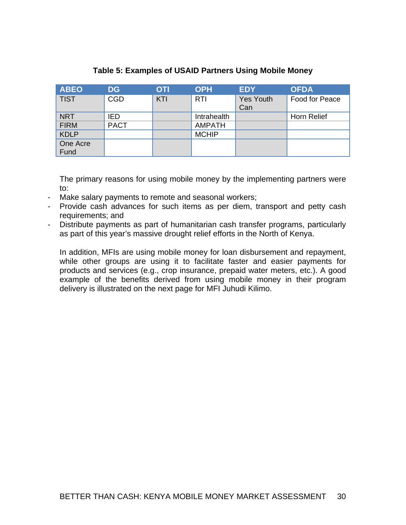| <b>ABEO</b> | <b>DG</b>   | <b>OTI</b> | <b>OPH</b>    | <b>EDY</b>       | <b>OFDA</b>    |
|-------------|-------------|------------|---------------|------------------|----------------|
| <b>TIST</b> | <b>CGD</b>  | KTI        | <b>RTI</b>    | <b>Yes Youth</b> | Food for Peace |
|             |             |            |               | Can              |                |
| <b>NRT</b>  | <b>IED</b>  |            | Intrahealth   |                  | Horn Relief    |
| <b>FIRM</b> | <b>PACT</b> |            | <b>AMPATH</b> |                  |                |
| <b>KDLP</b> |             |            | <b>MCHIP</b>  |                  |                |
| One Acre    |             |            |               |                  |                |
| Fund        |             |            |               |                  |                |

## **Table 5: Examples of USAID Partners Using Mobile Money**

The primary reasons for using mobile money by the implementing partners were to:

- Make salary payments to remote and seasonal workers;
- Provide cash advances for such items as per diem, transport and petty cash requirements; and
- Distribute payments as part of humanitarian cash transfer programs, particularly as part of this year's massive drought relief efforts in the North of Kenya.

In addition, MFIs are using mobile money for loan disbursement and repayment, while other groups are using it to facilitate faster and easier payments for products and services (e.g., crop insurance, prepaid water meters, etc.). A good example of the benefits derived from using mobile money in their program delivery is illustrated on the next page for MFI Juhudi Kilimo.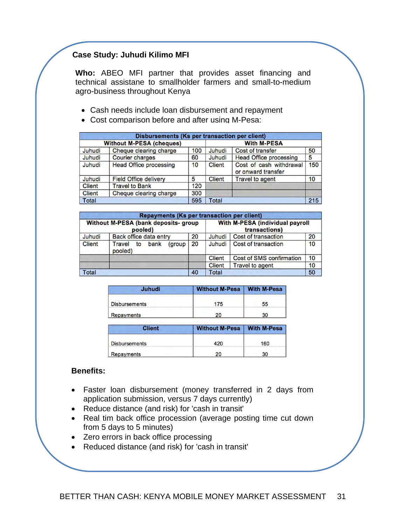## **Case Study: Juhudi Kilimo MFI**

**Who:** ABEO MFI partner that provides asset financing and technical assistane to smallholder farmers and small-to-medium agro-business throughout Kenya

- Cash needs include loan disbursement and repayment
- Cost comparison before and after using M-Pesa:

| <b>Disbursements (Ks per transaction per client)</b> |                               |                 |                    |                                               |     |  |  |
|------------------------------------------------------|-------------------------------|-----------------|--------------------|-----------------------------------------------|-----|--|--|
| <b>Without M-PESA (cheques)</b>                      |                               |                 | <b>With M-PESA</b> |                                               |     |  |  |
| Juhudi                                               | Cheque clearing charge        | 100             | Juhudi             | Cost of transfer                              | 50  |  |  |
| Juhudi                                               | <b>Courier charges</b>        | 60              | Juhudi             | <b>Head Office processing</b>                 | 5   |  |  |
| Juhudi                                               | <b>Head Office processing</b> | 10 <sup>1</sup> | <b>Client</b>      | Cost of cash withdrawal<br>or onward transfer | 150 |  |  |
| Juhudi                                               | <b>Field Office delivery</b>  | 5               | <b>Client</b>      | <b>Travel to agent</b>                        | 10  |  |  |
| <b>Client</b>                                        | <b>Travel to Bank</b>         | 120             |                    |                                               |     |  |  |
| <b>Client</b>                                        | Cheque clearing charge        | 300             |                    |                                               |     |  |  |
| Total                                                |                               | 595             | Total              |                                               | 215 |  |  |

|                                                                                                            | <b>Repayments (Ks per transaction per client)</b> |    |               |                          |    |  |  |
|------------------------------------------------------------------------------------------------------------|---------------------------------------------------|----|---------------|--------------------------|----|--|--|
| <b>With M-PESA (individual payroll</b><br>Without M-PESA (bank deposits- group<br>transactions)<br>pooled) |                                                   |    |               |                          |    |  |  |
| Juhudi                                                                                                     | Back office data entry                            | 20 | Juhudi        | Cost of transaction      | 20 |  |  |
| <b>Client</b>                                                                                              | bank<br>(group)<br><b>Travel</b><br>to<br>pooled) | 20 | Juhudi        | Cost of transaction      | 10 |  |  |
|                                                                                                            |                                                   |    | <b>Client</b> | Cost of SMS confirmation | 10 |  |  |
|                                                                                                            |                                                   |    | <b>Client</b> | <b>Travel to agent</b>   | 10 |  |  |
| Total                                                                                                      |                                                   | 40 | <b>Total</b>  |                          | 50 |  |  |

| <b>Juhudi</b>        | <b>Without M-Pesa</b> | <b>With M-Pesa</b> |  |
|----------------------|-----------------------|--------------------|--|
| <b>Disbursements</b> | 175                   | 55                 |  |
| <b>Repayments</b>    | 20                    | 30                 |  |

| <b>Client</b>        | Without M-Pesa   With M-Pesa |     |
|----------------------|------------------------------|-----|
| <b>Disbursements</b> | 420                          | 160 |
| Repayments           | 20                           | 30  |

#### **Benefits:**

- Faster loan disbursement (money transferred in 2 days from application submission, versus 7 days currently)
- Reduce distance (and risk) for 'cash in transit'
- Real tim back office procession (average posting time cut down from 5 days to 5 minutes)
- Zero errors in back office processing
- Reduced distance (and risk) for 'cash in transit'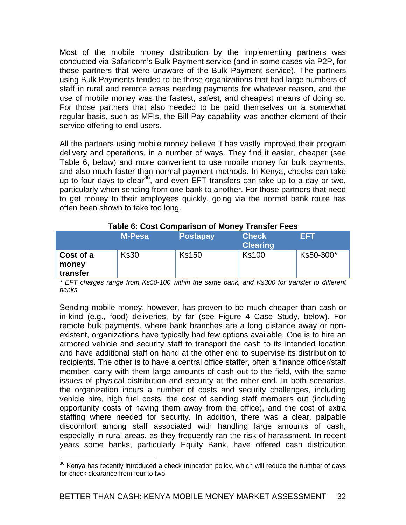Most of the mobile money distribution by the implementing partners was conducted via Safaricom's Bulk Payment service (and in some cases via P2P, for those partners that were unaware of the Bulk Payment service). The partners using Bulk Payments tended to be those organizations that had large numbers of staff in rural and remote areas needing payments for whatever reason, and the use of mobile money was the fastest, safest, and cheapest means of doing so. For those partners that also needed to be paid themselves on a somewhat regular basis, such as MFIs, the Bill Pay capability was another element of their service offering to end users.

All the partners using mobile money believe it has vastly improved their program delivery and operations, in a number of ways. They find it easier, cheaper (see Table 6, below) and more convenient to use mobile money for bulk payments, and also much faster than normal payment methods. In Kenya, checks can take up to four days to clear<sup>36</sup>, and even EFT transfers can take up to a day or two, particularly when sending from one bank to another. For those partners that need to get money to their employees quickly, going via the normal bank route has often been shown to take too long.

|                                | <b>M-Pesa</b> | <b>Postapay</b> | <b>Check</b><br><b>Clearing</b> | FFT       |  |  |  |
|--------------------------------|---------------|-----------------|---------------------------------|-----------|--|--|--|
| Cost of a<br>money<br>transfer | <b>Ks30</b>   | <b>Ks150</b>    | <b>Ks100</b>                    | Ks50-300* |  |  |  |

#### **Table 6: Cost Comparison of Money Transfer Fees**

*\* EFT charges range from Ks50-100 within the same bank, and Ks300 for transfer to different banks.* 

Sending mobile money, however, has proven to be much cheaper than cash or in-kind (e.g., food) deliveries, by far (see Figure 4 Case Study, below). For remote bulk payments, where bank branches are a long distance away or nonexistent, organizations have typically had few options available. One is to hire an armored vehicle and security staff to transport the cash to its intended location and have additional staff on hand at the other end to supervise its distribution to recipients. The other is to have a central office staffer, often a finance officer/staff member, carry with them large amounts of cash out to the field, with the same issues of physical distribution and security at the other end. In both scenarios, the organization incurs a number of costs and security challenges, including vehicle hire, high fuel costs, the cost of sending staff members out (including opportunity costs of having them away from the office), and the cost of extra staffing where needed for security. In addition, there was a clear, palpable discomfort among staff associated with handling large amounts of cash, especially in rural areas, as they frequently ran the risk of harassment. In recent years some banks, particularly Equity Bank, have offered cash distribution

 $\overline{a}$  $36$  Kenya has recently introduced a check truncation policy, which will reduce the number of days for check clearance from four to two.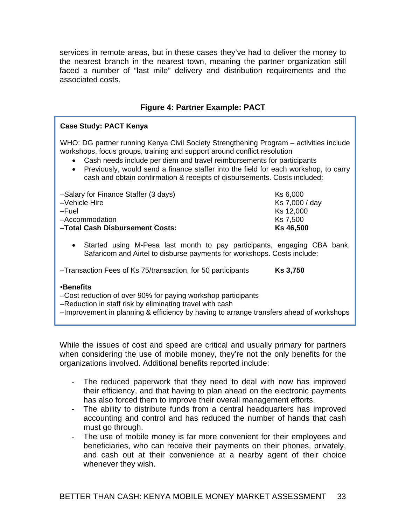services in remote areas, but in these cases they've had to deliver the money to the nearest branch in the nearest town, meaning the partner organization still faced a number of "last mile" delivery and distribution requirements and the associated costs.

## **Figure 4: Partner Example: PACT**

#### **Case Study: PACT Kenya**

WHO: DG partner running Kenya Civil Society Strengthening Program – activities include workshops, focus groups, training and support around conflict resolution

- Cash needs include per diem and travel reimbursements for participants
- Previously, would send a finance staffer into the field for each workshop, to carry cash and obtain confirmation & receipts of disbursements. Costs included:

| -Salary for Finance Staffer (3 days) | Ks 6,000       |
|--------------------------------------|----------------|
| -Vehicle Hire                        | Ks 7,000 / day |
| -Fuel                                | Ks 12,000      |
| -Accommodation                       | Ks 7,500       |
| -Total Cash Disbursement Costs:      | Ks 46,500      |

 Started using M-Pesa last month to pay participants, engaging CBA bank, Safaricom and Airtel to disburse payments for workshops. Costs include:

–Transaction Fees of Ks 75/transaction, for 50 participants **Ks 3,750**

•**Benefits**

–Cost reduction of over 90% for paying workshop participants

- –Reduction in staff risk by eliminating travel with cash
- –Improvement in planning & efficiency by having to arrange transfers ahead of workshops

While the issues of cost and speed are critical and usually primary for partners when considering the use of mobile money, they're not the only benefits for the organizations involved. Additional benefits reported include:

- The reduced paperwork that they need to deal with now has improved their efficiency, and that having to plan ahead on the electronic payments has also forced them to improve their overall management efforts.
- The ability to distribute funds from a central headquarters has improved accounting and control and has reduced the number of hands that cash must go through.
- The use of mobile money is far more convenient for their employees and beneficiaries, who can receive their payments on their phones, privately, and cash out at their convenience at a nearby agent of their choice whenever they wish.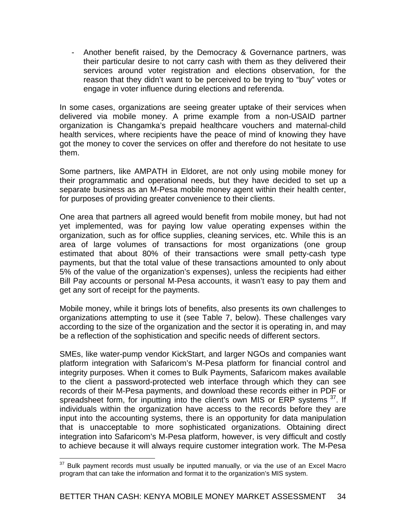- Another benefit raised, by the Democracy & Governance partners, was their particular desire to not carry cash with them as they delivered their services around voter registration and elections observation, for the reason that they didn't want to be perceived to be trying to "buy" votes or engage in voter influence during elections and referenda.

In some cases, organizations are seeing greater uptake of their services when delivered via mobile money. A prime example from a non-USAID partner organization is Changamka's prepaid healthcare vouchers and maternal-child health services, where recipients have the peace of mind of knowing they have got the money to cover the services on offer and therefore do not hesitate to use them.

Some partners, like AMPATH in Eldoret, are not only using mobile money for their programmatic and operational needs, but they have decided to set up a separate business as an M-Pesa mobile money agent within their health center, for purposes of providing greater convenience to their clients.

One area that partners all agreed would benefit from mobile money, but had not yet implemented, was for paying low value operating expenses within the organization, such as for office supplies, cleaning services, etc. While this is an area of large volumes of transactions for most organizations (one group estimated that about 80% of their transactions were small petty-cash type payments, but that the total value of these transactions amounted to only about 5% of the value of the organization's expenses), unless the recipients had either Bill Pay accounts or personal M-Pesa accounts, it wasn't easy to pay them and get any sort of receipt for the payments.

Mobile money, while it brings lots of benefits, also presents its own challenges to organizations attempting to use it (see Table 7, below). These challenges vary according to the size of the organization and the sector it is operating in, and may be a reflection of the sophistication and specific needs of different sectors.

SMEs, like water-pump vendor KickStart, and larger NGOs and companies want platform integration with Safaricom's M-Pesa platform for financial control and integrity purposes. When it comes to Bulk Payments, Safaricom makes available to the client a password-protected web interface through which they can see records of their M-Pesa payments, and download these records either in PDF or spreadsheet form, for inputting into the client's own MIS or ERP systems  $37$ . If individuals within the organization have access to the records before they are input into the accounting systems, there is an opportunity for data manipulation that is unacceptable to more sophisticated organizations. Obtaining direct integration into Safaricom's M-Pesa platform, however, is very difficult and costly to achieve because it will always require customer integration work. The M-Pesa

<sup>37</sup> Bulk payment records must usually be inputted manually, or via the use of an Excel Macro program that can take the information and format it to the organization's MIS system.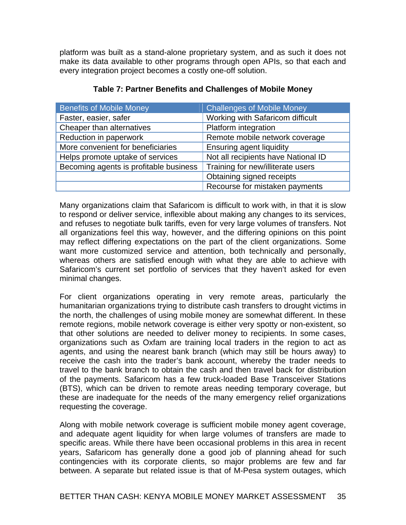platform was built as a stand-alone proprietary system, and as such it does not make its data available to other programs through open APIs, so that each and every integration project becomes a costly one-off solution.

| <b>Benefits of Mobile Money</b>        | <b>Challenges of Mobile Money</b>   |
|----------------------------------------|-------------------------------------|
| Faster, easier, safer                  | Working with Safaricom difficult    |
| Cheaper than alternatives              | Platform integration                |
| Reduction in paperwork                 | Remote mobile network coverage      |
| More convenient for beneficiaries      | <b>Ensuring agent liquidity</b>     |
| Helps promote uptake of services       | Not all recipients have National ID |
| Becoming agents is profitable business | Training for new/illiterate users   |
|                                        | Obtaining signed receipts           |
|                                        | Recourse for mistaken payments      |

### **Table 7: Partner Benefits and Challenges of Mobile Money**

Many organizations claim that Safaricom is difficult to work with, in that it is slow to respond or deliver service, inflexible about making any changes to its services, and refuses to negotiate bulk tariffs, even for very large volumes of transfers. Not all organizations feel this way, however, and the differing opinions on this point may reflect differing expectations on the part of the client organizations. Some want more customized service and attention, both technically and personally, whereas others are satisfied enough with what they are able to achieve with Safaricom's current set portfolio of services that they haven't asked for even minimal changes.

For client organizations operating in very remote areas, particularly the humanitarian organizations trying to distribute cash transfers to drought victims in the north, the challenges of using mobile money are somewhat different. In these remote regions, mobile network coverage is either very spotty or non-existent, so that other solutions are needed to deliver money to recipients. In some cases, organizations such as Oxfam are training local traders in the region to act as agents, and using the nearest bank branch (which may still be hours away) to receive the cash into the trader's bank account, whereby the trader needs to travel to the bank branch to obtain the cash and then travel back for distribution of the payments. Safaricom has a few truck-loaded Base Transceiver Stations (BTS), which can be driven to remote areas needing temporary coverage, but these are inadequate for the needs of the many emergency relief organizations requesting the coverage.

Along with mobile network coverage is sufficient mobile money agent coverage, and adequate agent liquidity for when large volumes of transfers are made to specific areas. While there have been occasional problems in this area in recent years, Safaricom has generally done a good job of planning ahead for such contingencies with its corporate clients, so major problems are few and far between. A separate but related issue is that of M-Pesa system outages, which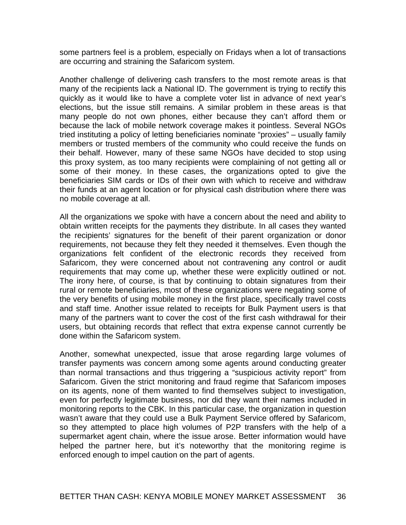some partners feel is a problem, especially on Fridays when a lot of transactions are occurring and straining the Safaricom system.

Another challenge of delivering cash transfers to the most remote areas is that many of the recipients lack a National ID. The government is trying to rectify this quickly as it would like to have a complete voter list in advance of next year's elections, but the issue still remains. A similar problem in these areas is that many people do not own phones, either because they can't afford them or because the lack of mobile network coverage makes it pointless. Several NGOs tried instituting a policy of letting beneficiaries nominate "proxies" – usually family members or trusted members of the community who could receive the funds on their behalf. However, many of these same NGOs have decided to stop using this proxy system, as too many recipients were complaining of not getting all or some of their money. In these cases, the organizations opted to give the beneficiaries SIM cards or IDs of their own with which to receive and withdraw their funds at an agent location or for physical cash distribution where there was no mobile coverage at all.

All the organizations we spoke with have a concern about the need and ability to obtain written receipts for the payments they distribute. In all cases they wanted the recipients' signatures for the benefit of their parent organization or donor requirements, not because they felt they needed it themselves. Even though the organizations felt confident of the electronic records they received from Safaricom, they were concerned about not contravening any control or audit requirements that may come up, whether these were explicitly outlined or not. The irony here, of course, is that by continuing to obtain signatures from their rural or remote beneficiaries, most of these organizations were negating some of the very benefits of using mobile money in the first place, specifically travel costs and staff time. Another issue related to receipts for Bulk Payment users is that many of the partners want to cover the cost of the first cash withdrawal for their users, but obtaining records that reflect that extra expense cannot currently be done within the Safaricom system.

Another, somewhat unexpected, issue that arose regarding large volumes of transfer payments was concern among some agents around conducting greater than normal transactions and thus triggering a "suspicious activity report" from Safaricom. Given the strict monitoring and fraud regime that Safaricom imposes on its agents, none of them wanted to find themselves subject to investigation, even for perfectly legitimate business, nor did they want their names included in monitoring reports to the CBK. In this particular case, the organization in question wasn't aware that they could use a Bulk Payment Service offered by Safaricom, so they attempted to place high volumes of P2P transfers with the help of a supermarket agent chain, where the issue arose. Better information would have helped the partner here, but it's noteworthy that the monitoring regime is enforced enough to impel caution on the part of agents.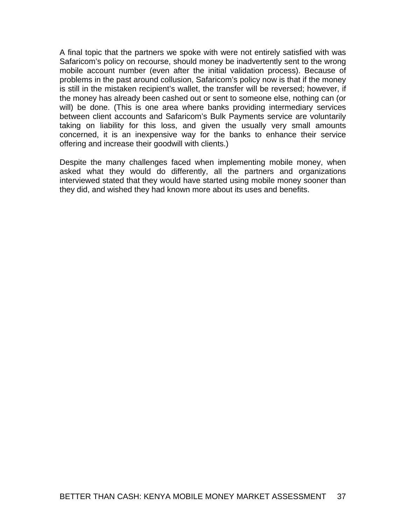A final topic that the partners we spoke with were not entirely satisfied with was Safaricom's policy on recourse, should money be inadvertently sent to the wrong mobile account number (even after the initial validation process). Because of problems in the past around collusion, Safaricom's policy now is that if the money is still in the mistaken recipient's wallet, the transfer will be reversed; however, if the money has already been cashed out or sent to someone else, nothing can (or will) be done. (This is one area where banks providing intermediary services between client accounts and Safaricom's Bulk Payments service are voluntarily taking on liability for this loss, and given the usually very small amounts concerned, it is an inexpensive way for the banks to enhance their service offering and increase their goodwill with clients.)

Despite the many challenges faced when implementing mobile money, when asked what they would do differently, all the partners and organizations interviewed stated that they would have started using mobile money sooner than they did, and wished they had known more about its uses and benefits.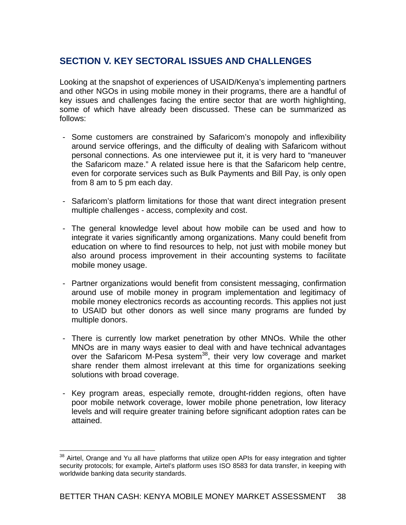# **SECTION V. KEY SECTORAL ISSUES AND CHALLENGES**

Looking at the snapshot of experiences of USAID/Kenya's implementing partners and other NGOs in using mobile money in their programs, there are a handful of key issues and challenges facing the entire sector that are worth highlighting, some of which have already been discussed. These can be summarized as follows:

- Some customers are constrained by Safaricom's monopoly and inflexibility around service offerings, and the difficulty of dealing with Safaricom without personal connections. As one interviewee put it, it is very hard to "maneuver the Safaricom maze." A related issue here is that the Safaricom help centre, even for corporate services such as Bulk Payments and Bill Pay, is only open from 8 am to 5 pm each day.
- Safaricom's platform limitations for those that want direct integration present multiple challenges - access, complexity and cost.
- The general knowledge level about how mobile can be used and how to integrate it varies significantly among organizations. Many could benefit from education on where to find resources to help, not just with mobile money but also around process improvement in their accounting systems to facilitate mobile money usage.
- Partner organizations would benefit from consistent messaging, confirmation around use of mobile money in program implementation and legitimacy of mobile money electronics records as accounting records. This applies not just to USAID but other donors as well since many programs are funded by multiple donors.
- There is currently low market penetration by other MNOs. While the other MNOs are in many ways easier to deal with and have technical advantages over the Safaricom M-Pesa system<sup>38</sup>, their very low coverage and market share render them almost irrelevant at this time for organizations seeking solutions with broad coverage.
- Key program areas, especially remote, drought-ridden regions, often have poor mobile network coverage, lower mobile phone penetration, low literacy levels and will require greater training before significant adoption rates can be attained.

 $\overline{a}$ <sup>38</sup> Airtel, Orange and Yu all have platforms that utilize open APIs for easy integration and tighter security protocols; for example, Airtel's platform uses ISO 8583 for data transfer, in keeping with worldwide banking data security standards.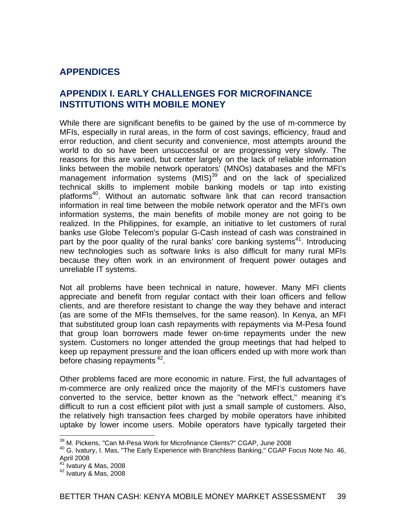# **APPENDICES**

## **APPENDIX I. EARLY CHALLENGES FOR MICROFINANCE INSTITUTIONS WITH MOBILE MONEY**

While there are significant benefits to be gained by the use of m-commerce by MFIs, especially in rural areas, in the form of cost savings, efficiency, fraud and error reduction, and client security and convenience, most attempts around the world to do so have been unsuccessful or are progressing very slowly. The reasons for this are varied, but center largely on the lack of reliable information links between the mobile network operators' (MNOs) databases and the MFI's management information systems  $(MIS)^{39}$  and on the lack of specialized technical skills to implement mobile banking models or tap into existing platforms<sup>40</sup>. Without an automatic software link that can record transaction information in real time between the mobile network operator and the MFI's own information systems, the main benefits of mobile money are not going to be realized. In the Philippines, for example, an initiative to let customers of rural banks use Globe Telecom's popular G-Cash instead of cash was constrained in part by the poor quality of the rural banks' core banking systems<sup>41</sup>. Introducing new technologies such as software links is also difficult for many rural MFIs because they often work in an environment of frequent power outages and unreliable IT systems.

Not all problems have been technical in nature, however. Many MFI clients appreciate and benefit from regular contact with their loan officers and fellow clients, and are therefore resistant to change the way they behave and interact (as are some of the MFIs themselves, for the same reason). In Kenya, an MFI that substituted group loan cash repayments with repayments via M-Pesa found that group loan borrowers made fewer on-time repayments under the new system. Customers no longer attended the group meetings that had helped to keep up repayment pressure and the loan officers ended up with more work than before chasing repayments<sup>42</sup>.

Other problems faced are more economic in nature. First, the full advantages of m-commerce are only realized once the majority of the MFI's customers have converted to the service, better known as the "network effect," meaning it's difficult to run a cost efficient pilot with just a small sample of customers. Also, the relatively high transaction fees charged by mobile operators have inhibited uptake by lower income users. Mobile operators have typically targeted their

 $\overline{a}$ 

<sup>&</sup>lt;sup>39</sup> M. Pickens, "Can M-Pesa Work for Microfinance Clients?" CGAP, June 2008

<sup>40</sup> G. Ivatury, I. Mas, "The Early Experience with Branchless Banking," CGAP Focus Note No. 46, April 2008<br><sup>41</sup> Ivatury & Mas, 2008

<sup>41</sup> Ivatury & Mas, 2008 42 Ivatury & Mas, 2008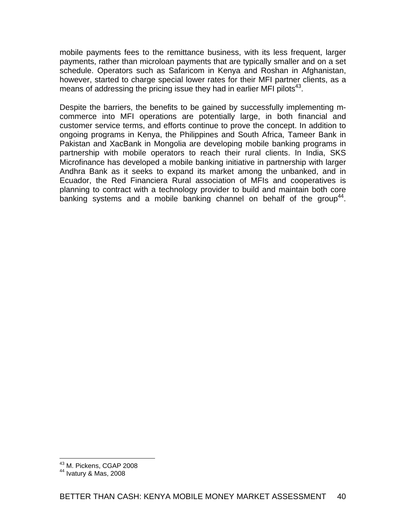mobile payments fees to the remittance business, with its less frequent, larger payments, rather than microloan payments that are typically smaller and on a set schedule. Operators such as Safaricom in Kenya and Roshan in Afghanistan, however, started to charge special lower rates for their MFI partner clients, as a means of addressing the pricing issue they had in earlier MFI pilots<sup>43</sup>.

Despite the barriers, the benefits to be gained by successfully implementing mcommerce into MFI operations are potentially large, in both financial and customer service terms, and efforts continue to prove the concept. In addition to ongoing programs in Kenya, the Philippines and South Africa, Tameer Bank in Pakistan and XacBank in Mongolia are developing mobile banking programs in partnership with mobile operators to reach their rural clients. In India, SKS Microfinance has developed a mobile banking initiative in partnership with larger Andhra Bank as it seeks to expand its market among the unbanked, and in Ecuador, the Red Financiera Rural association of MFIs and cooperatives is planning to contract with a technology provider to build and maintain both core banking systems and a mobile banking channel on behalf of the group<sup>44</sup>.

 $\overline{a}$ 

<sup>&</sup>lt;sup>43</sup> M. Pickens, CGAP 2008

<sup>44</sup> Ivatury & Mas, 2008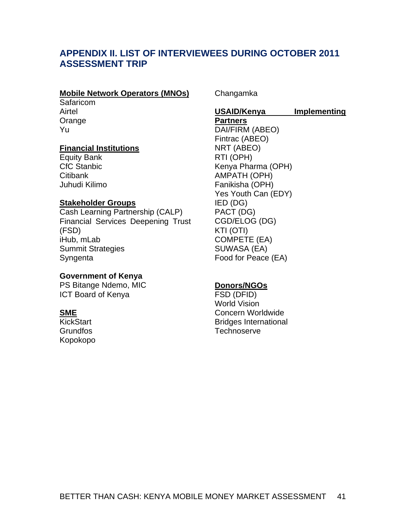## **APPENDIX II. LIST OF INTERVIEWEES DURING OCTOBER 2011 ASSESSMENT TRIP**

#### **Mobile Network Operators (MNOs)**

Safaricom Airtel **Orange** Yu

#### **Financial Institutions**

Equity Bank CfC Stanbic **Citibank** Juhudi Kilimo

## **Stakeholder Groups**

Cash Learning Partnership (CALP) Financial Services Deepening Trust (FSD) iHub, mLab Summit Strategies Syngenta

#### **Government of Kenya**

PS Bitange Ndemo, MIC ICT Board of Kenya

#### **SME**

**KickStart** Grundfos Kopokopo Changamka

#### **USAID/Kenya Implementing Partners**  DAI/FIRM (ABEO) Fintrac (ABEO) NRT (ABEO) RTI (OPH) Kenya Pharma (OPH)

AMPATH (OPH) Fanikisha (OPH) Yes Youth Can (EDY) IED (DG) PACT (DG) CGD/ELOG (DG) KTI (OTI) COMPETE (EA) SUWASA (EA) Food for Peace (EA)

#### **Donors/NGOs**

FSD (DFID) World Vision Concern Worldwide Bridges International **Technoserve**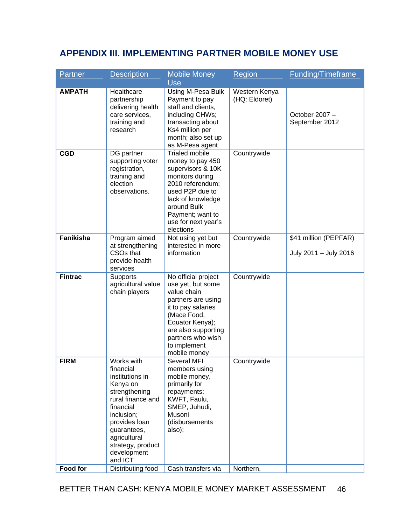# **APPENDIX III. IMPLEMENTING PARTNER MOBILE MONEY USE**

| Partner          | <b>Description</b>                                                                                                                                                                                                     | <b>Mobile Money</b><br><b>Use</b>                                                                                                                                                                                    | Region                         | Funding/Timeframe                              |
|------------------|------------------------------------------------------------------------------------------------------------------------------------------------------------------------------------------------------------------------|----------------------------------------------------------------------------------------------------------------------------------------------------------------------------------------------------------------------|--------------------------------|------------------------------------------------|
| <b>AMPATH</b>    | Healthcare<br>partnership<br>delivering health<br>care services,<br>training and<br>research                                                                                                                           | Using M-Pesa Bulk<br>Payment to pay<br>staff and clients,<br>including CHWs;<br>transacting about<br>Ks4 million per<br>month; also set up<br>as M-Pesa agent                                                        | Western Kenya<br>(HQ: Eldoret) | October 2007 -<br>September 2012               |
| <b>CGD</b>       | DG partner<br>supporting voter<br>registration,<br>training and<br>election<br>observations.                                                                                                                           | <b>Trialed mobile</b><br>money to pay 450<br>supervisors & 10K<br>monitors during<br>2010 referendum;<br>used P2P due to<br>lack of knowledge<br>around Bulk<br>Payment; want to<br>use for next year's<br>elections | Countrywide                    |                                                |
| <b>Fanikisha</b> | Program aimed<br>at strengthening<br>CSO <sub>s</sub> that<br>provide health<br>services                                                                                                                               | Not using yet but<br>interested in more<br>information                                                                                                                                                               | Countrywide                    | \$41 million (PEPFAR)<br>July 2011 - July 2016 |
| <b>Fintrac</b>   | Supports<br>agricultural value<br>chain players                                                                                                                                                                        | No official project<br>use yet, but some<br>value chain<br>partners are using<br>it to pay salaries<br>(Mace Food,<br>Equator Kenya);<br>are also supporting<br>partners who wish<br>to implement<br>mobile money    | Countrywide                    |                                                |
| <b>FIRM</b>      | Works with<br>financial<br>institutions in<br>Kenya on<br>strengthening<br>rural finance and<br>financial<br>inclusion;<br>provides loan<br>guarantees,<br>agricultural<br>strategy, product<br>development<br>and ICT | Several MFI<br>members using<br>mobile money,<br>primarily for<br>repayments:<br>KWFT, Faulu,<br>SMEP, Juhudi,<br>Musoni<br>(disbursements<br>also);                                                                 | Countrywide                    |                                                |
| Food for         | Distributing food                                                                                                                                                                                                      | Cash transfers via                                                                                                                                                                                                   | Northern,                      |                                                |

BETTER THAN CASH: KENYA MOBILE MONEY MARKET ASSESSMENT 46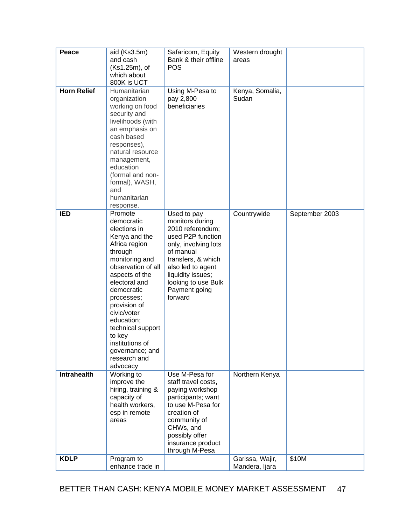| Peace              | aid (Ks3.5m)<br>and cash                                                                                                                                                                                                                                                                                                                | Safaricom, Equity<br>Bank & their offline                                                                                                                                                                                       | Western drought<br>areas          |                |
|--------------------|-----------------------------------------------------------------------------------------------------------------------------------------------------------------------------------------------------------------------------------------------------------------------------------------------------------------------------------------|---------------------------------------------------------------------------------------------------------------------------------------------------------------------------------------------------------------------------------|-----------------------------------|----------------|
|                    | (Ks1.25m), of                                                                                                                                                                                                                                                                                                                           | <b>POS</b>                                                                                                                                                                                                                      |                                   |                |
|                    | which about<br>800K is UCT                                                                                                                                                                                                                                                                                                              |                                                                                                                                                                                                                                 |                                   |                |
| <b>Horn Relief</b> | Humanitarian<br>organization<br>working on food<br>security and<br>livelihoods (with<br>an emphasis on<br>cash based<br>responses),<br>natural resource<br>management,<br>education<br>(formal and non-<br>formal), WASH,<br>and<br>humanitarian<br>response.                                                                           | Using M-Pesa to<br>pay 2,800<br>beneficiaries                                                                                                                                                                                   | Kenya, Somalia,<br>Sudan          |                |
| <b>IED</b>         | Promote<br>democratic<br>elections in<br>Kenya and the<br>Africa region<br>through<br>monitoring and<br>observation of all<br>aspects of the<br>electoral and<br>democratic<br>processes;<br>provision of<br>civic/voter<br>education;<br>technical support<br>to key<br>institutions of<br>governance; and<br>research and<br>advocacy | Used to pay<br>monitors during<br>2010 referendum;<br>used P2P function<br>only, involving lots<br>of manual<br>transfers, & which<br>also led to agent<br>liquidity issues;<br>looking to use Bulk<br>Payment going<br>forward | Countrywide                       | September 2003 |
| <b>Intrahealth</b> | Working to<br>improve the<br>hiring, training &<br>capacity of<br>health workers,<br>esp in remote<br>areas                                                                                                                                                                                                                             | Use M-Pesa for<br>staff travel costs,<br>paying workshop<br>participants; want<br>to use M-Pesa for<br>creation of<br>community of<br>CHWs, and<br>possibly offer<br>insurance product<br>through M-Pesa                        | Northern Kenya                    |                |
| <b>KDLP</b>        | Program to<br>enhance trade in                                                                                                                                                                                                                                                                                                          |                                                                                                                                                                                                                                 | Garissa, Wajir,<br>Mandera, Ijara | \$10M          |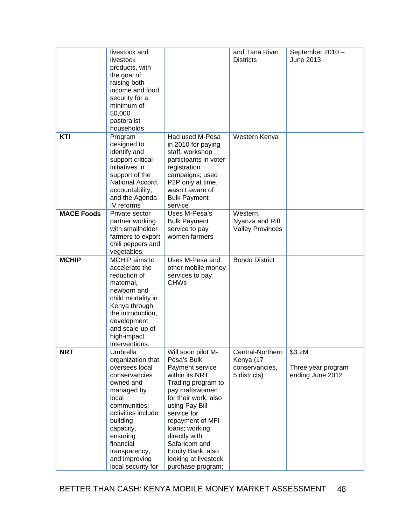|                   | livestock and<br>livestock<br>products, with<br>the goal of<br>raising both<br>income and food<br>security for a<br>minimum of<br>50,000<br>pastoralist<br>households                                                                                |                                                                                                                                                                                                                                                                                                                    | and Tana River<br><b>Districts</b>                              | September 2010 -<br>June 2013                    |
|-------------------|------------------------------------------------------------------------------------------------------------------------------------------------------------------------------------------------------------------------------------------------------|--------------------------------------------------------------------------------------------------------------------------------------------------------------------------------------------------------------------------------------------------------------------------------------------------------------------|-----------------------------------------------------------------|--------------------------------------------------|
| KTI               | Program<br>designed to<br>identify and<br>support critical<br>initiatives in<br>support of the<br>National Accord,<br>accountability,<br>and the Agenda<br>IV reforms                                                                                | Had used M-Pesa<br>in 2010 for paying<br>staff, workshop<br>participants in voter<br>registration<br>campaigns; used<br>P2P only at time,<br>wasn't aware of<br><b>Bulk Payment</b><br>service                                                                                                                     | Western Kenya                                                   |                                                  |
| <b>MACE Foods</b> | Private sector<br>partner working<br>with smallholder<br>farmers to export<br>chili peppers and<br>vegetables                                                                                                                                        | Uses M-Pesa's<br><b>Bulk Payment</b><br>service to pay<br>women farmers                                                                                                                                                                                                                                            | Western,<br>Nyanza and Rift<br><b>Valley Provinces</b>          |                                                  |
| <b>MCHIP</b>      | MCHIP aims to<br>accelerate the<br>reduction of<br>maternal,<br>newborn and<br>child mortality in<br>Kenya through<br>the introduction,<br>development<br>and scale-up of<br>high-impact<br>interventions.                                           | Uses M-Pesa and<br>other mobile money<br>services to pay<br><b>CHWs</b>                                                                                                                                                                                                                                            | <b>Bondo District</b>                                           |                                                  |
| <b>NRT</b>        | Umbrella<br>organization that<br>oversees local<br>conservancies<br>owned and<br>managed by<br>local<br>communities;<br>activities include<br>building<br>capacity,<br>ensuring<br>financial<br>transparency,<br>and improving<br>local security for | Will soon pilot M-<br>Pesa's Bulk<br>Payment service<br>within its NRT<br>Trading program to<br>pay craftswomen<br>for their work; also<br>using Pay Bill<br>service for<br>repayment of MFI<br>loans; working<br>directly with<br>Safaricom and<br>Equity Bank; also<br>looking at livestock<br>purchase program; | Central-Northern<br>Kenya (17<br>conservancies,<br>5 districts) | \$3.2M<br>Three year program<br>ending June 2012 |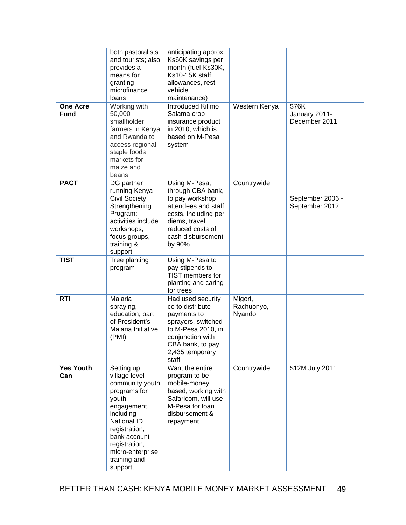| <b>One Acre</b><br><b>Fund</b> | both pastoralists<br>and tourists; also<br>provides a<br>means for<br>granting<br>microfinance<br>loans<br>Working with<br>50,000<br>smallholder<br>farmers in Kenya<br>and Rwanda to<br>access regional<br>staple foods<br>markets for | anticipating approx.<br>Ks60K savings per<br>month (fuel-Ks30K,<br>Ks10-15K staff<br>allowances, rest<br>vehicle<br>maintenance)<br>Introduced Kilimo<br>Salama crop<br>insurance product<br>in 2010, which is<br>based on M-Pesa<br>system | Western Kenya                   | \$76K<br>January 2011-<br>December 2011 |
|--------------------------------|-----------------------------------------------------------------------------------------------------------------------------------------------------------------------------------------------------------------------------------------|---------------------------------------------------------------------------------------------------------------------------------------------------------------------------------------------------------------------------------------------|---------------------------------|-----------------------------------------|
| <b>PACT</b>                    | maize and<br>beans<br>DG partner<br>running Kenya                                                                                                                                                                                       | Using M-Pesa,<br>through CBA bank,                                                                                                                                                                                                          | Countrywide                     |                                         |
|                                | <b>Civil Society</b><br>Strengthening<br>Program;<br>activities include<br>workshops,<br>focus groups,<br>training &<br>support                                                                                                         | to pay workshop<br>attendees and staff<br>costs, including per<br>diems, travel;<br>reduced costs of<br>cash disbursement<br>by 90%                                                                                                         |                                 | September 2006 -<br>September 2012      |
| <b>TIST</b>                    | Tree planting<br>program                                                                                                                                                                                                                | Using M-Pesa to<br>pay stipends to<br>TIST members for<br>planting and caring<br>for trees                                                                                                                                                  |                                 |                                         |
| <b>RTI</b>                     | Malaria<br>spraying,<br>education; part<br>of President's<br>Malaria Initiative<br>(PMI)                                                                                                                                                | Had used security<br>co to distribute<br>payments to<br>sprayers, switched<br>to M-Pesa 2010, in<br>conjunction with<br>CBA bank, to pay<br>2,435 temporary<br>staff                                                                        | Migori,<br>Rachuonyo,<br>Nyando |                                         |
| <b>Yes Youth</b><br>Can        | Setting up<br>village level<br>community youth<br>programs for<br>youth<br>engagement,<br>including<br>National ID<br>registration,<br>bank account<br>registration,<br>micro-enterprise<br>training and<br>support,                    | Want the entire<br>program to be<br>mobile-money<br>based, working with<br>Safaricom, will use<br>M-Pesa for loan<br>disbursement &<br>repayment                                                                                            | Countrywide                     | \$12M July 2011                         |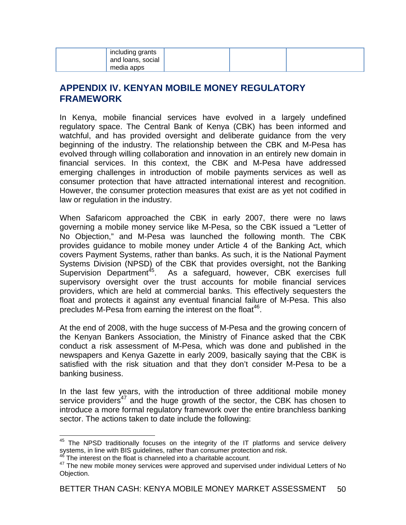| including grants<br>and loans, social<br>media apps |  |  |
|-----------------------------------------------------|--|--|
|-----------------------------------------------------|--|--|

## **APPENDIX IV. KENYAN MOBILE MONEY REGULATORY FRAMEWORK**

In Kenya, mobile financial services have evolved in a largely undefined regulatory space. The Central Bank of Kenya (CBK) has been informed and watchful, and has provided oversight and deliberate guidance from the very beginning of the industry. The relationship between the CBK and M-Pesa has evolved through willing collaboration and innovation in an entirely new domain in financial services. In this context, the CBK and M-Pesa have addressed emerging challenges in introduction of mobile payments services as well as consumer protection that have attracted international interest and recognition. However, the consumer protection measures that exist are as yet not codified in law or regulation in the industry.

When Safaricom approached the CBK in early 2007, there were no laws governing a mobile money service like M-Pesa, so the CBK issued a "Letter of No Objection," and M-Pesa was launched the following month. The CBK provides guidance to mobile money under Article 4 of the Banking Act, which covers Payment Systems, rather than banks. As such, it is the National Payment Systems Division (NPSD) of the CBK that provides oversight, not the Banking Supervision Department<sup>45</sup>. As a safeguard, however, CBK exercises full As a safeguard, however, CBK exercises full supervisory oversight over the trust accounts for mobile financial services providers, which are held at commercial banks. This effectively sequesters the float and protects it against any eventual financial failure of M-Pesa. This also precludes M-Pesa from earning the interest on the float<sup>46</sup>.

At the end of 2008, with the huge success of M-Pesa and the growing concern of the Kenyan Bankers Association, the Ministry of Finance asked that the CBK conduct a risk assessment of M-Pesa, which was done and published in the newspapers and Kenya Gazette in early 2009, basically saying that the CBK is satisfied with the risk situation and that they don't consider M-Pesa to be a banking business.

In the last few years, with the introduction of three additional mobile money service providers<sup>47</sup> and the huge growth of the sector, the CBK has chosen to introduce a more formal regulatory framework over the entire branchless banking sector. The actions taken to date include the following:

 $\overline{a}$ 

 $45$  The NPSD traditionally focuses on the integrity of the IT platforms and service delivery systems, in line with BIS guidelines, rather than consumer protection and risk.

 $46$  The interest on the float is channeled into a charitable account.

<sup>47</sup> The new mobile money services were approved and supervised under individual Letters of No Objection.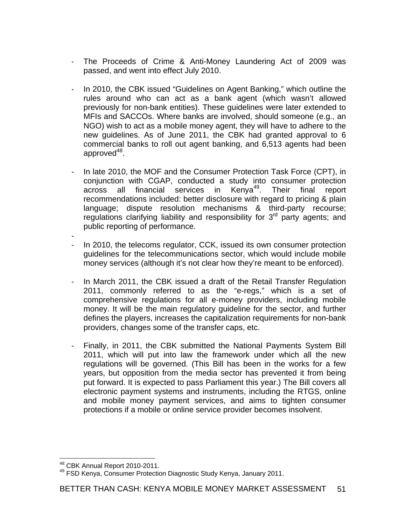- ‐ The Proceeds of Crime & Anti-Money Laundering Act of 2009 was passed, and went into effect July 2010.
- In 2010, the CBK issued "Guidelines on Agent Banking," which outline the rules around who can act as a bank agent (which wasn't allowed previously for non-bank entities). These guidelines were later extended to MFIs and SACCOs. Where banks are involved, should someone (e.g., an NGO) wish to act as a mobile money agent, they will have to adhere to the new guidelines. As of June 2011, the CBK had granted approval to 6 commercial banks to roll out agent banking, and 6,513 agents had been approved $48$ .
- ‐ In late 2010, the MOF and the Consumer Protection Task Force (CPT), in conjunction with CGAP, conducted a study into consumer protection across all financial services in Kenya<sup>49</sup>. Their final report recommendations included: better disclosure with regard to pricing & plain language; dispute resolution mechanisms & third-party recourse; regulations clarifying liability and responsibility for 3<sup>rd</sup> party agents; and public reporting of performance.
- ‐ ‐ In 2010, the telecoms regulator, CCK, issued its own consumer protection guidelines for the telecommunications sector, which would include mobile money services (although it's not clear how they're meant to be enforced).
- ‐ In March 2011, the CBK issued a draft of the Retail Transfer Regulation 2011, commonly referred to as the "e-regs," which is a set of comprehensive regulations for all e-money providers, including mobile money. It will be the main regulatory guideline for the sector, and further defines the players, increases the capitalization requirements for non-bank providers, changes some of the transfer caps, etc.
- ‐ Finally, in 2011, the CBK submitted the National Payments System Bill 2011, which will put into law the framework under which all the new regulations will be governed. (This Bill has been in the works for a few years, but opposition from the media sector has prevented it from being put forward. It is expected to pass Parliament this year.) The Bill covers all electronic payment systems and instruments, including the RTGS, online and mobile money payment services, and aims to tighten consumer protections if a mobile or online service provider becomes insolvent.

<sup>&</sup>lt;sup>48</sup> CBK Annual Report 2010-2011.

<sup>&</sup>lt;sup>49</sup> FSD Kenya, Consumer Protection Diagnostic Study Kenya, January 2011.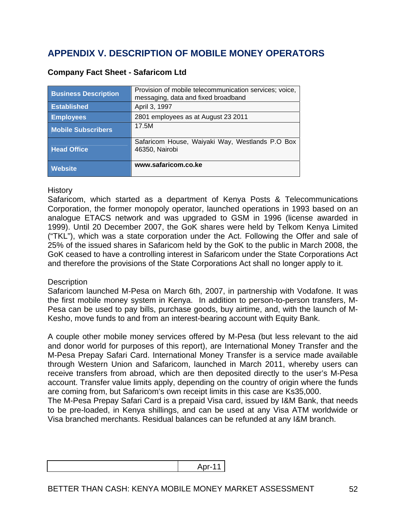# **APPENDIX V. DESCRIPTION OF MOBILE MONEY OPERATORS**

| <b>Business Description</b> | Provision of mobile telecommunication services; voice,<br>messaging, data and fixed broadband |
|-----------------------------|-----------------------------------------------------------------------------------------------|
| <b>Established</b>          | April 3, 1997                                                                                 |
| <b>Employees</b>            | 2801 employees as at August 23 2011                                                           |
| <b>Mobile Subscribers</b>   | 17.5M                                                                                         |
| <b>Head Office</b>          | Safaricom House, Waiyaki Way, Westlands P.O Box<br>46350, Nairobi                             |
| <b>Website</b>              | www.safaricom.co.ke                                                                           |

## **Company Fact Sheet - Safaricom Ltd**

#### **History**

Safaricom, which started as a department of Kenya Posts & Telecommunications Corporation, the former monopoly operator, launched operations in 1993 based on an analogue ETACS network and was upgraded to GSM in 1996 (license awarded in 1999). Until 20 December 2007, the GoK shares were held by Telkom Kenya Limited ("TKL"), which was a state corporation under the Act. Following the Offer and sale of 25% of the issued shares in Safaricom held by the GoK to the public in March 2008, the GoK ceased to have a controlling interest in Safaricom under the State Corporations Act and therefore the provisions of the State Corporations Act shall no longer apply to it.

#### **Description**

Safaricom launched M-Pesa on March 6th, 2007, in partnership with Vodafone. It was the first mobile money system in Kenya. In addition to person-to-person transfers, M-Pesa can be used to pay bills, purchase goods, buy airtime, and, with the launch of M-Kesho, move funds to and from an interest-bearing account with Equity Bank.

A couple other mobile money services offered by M-Pesa (but less relevant to the aid and donor world for purposes of this report), are International Money Transfer and the M-Pesa Prepay Safari Card. International Money Transfer is a service made available through Western Union and Safaricom, launched in March 2011, whereby users can receive transfers from abroad, which are then deposited directly to the user's M-Pesa account. Transfer value limits apply, depending on the country of origin where the funds are coming from, but Safaricom's own receipt limits in this case are Ks35,000.

The M-Pesa Prepay Safari Card is a prepaid Visa card, issued by I&M Bank, that needs to be pre-loaded, in Kenya shillings, and can be used at any Visa ATM worldwide or Visa branched merchants. Residual balances can be refunded at any I&M branch.

| <b>A</b> |
|----------|
|          |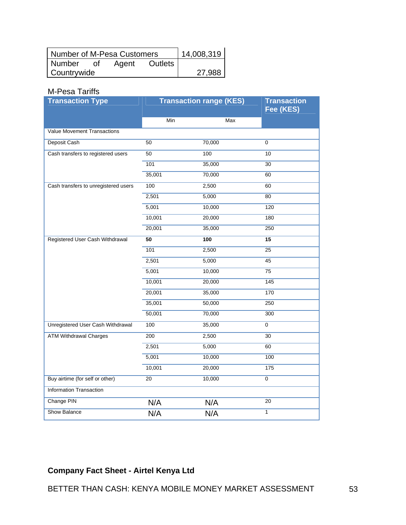| Number of M-Pesa Customers |    |       | 14,008,319 |        |
|----------------------------|----|-------|------------|--------|
| Number                     | Ωf | Agent | Outlets    |        |
| Countrywide                |    |       |            | 27.988 |

## M-Pesa Tariffs

| <b>Transaction Type</b>                  | <b>Transaction range (KES)</b> |        | <b>Transaction</b><br>Fee (KES) |  |
|------------------------------------------|--------------------------------|--------|---------------------------------|--|
|                                          | Min                            | Max    |                                 |  |
| <b>Value Movement Transactions</b>       |                                |        |                                 |  |
| Deposit Cash                             | 50                             | 70,000 | 0                               |  |
| Cash transfers to registered users       | 50                             | 100    | 10                              |  |
|                                          | 101                            | 35,000 | 30                              |  |
|                                          | 35,001                         | 70,000 | 60                              |  |
| Cash transfers to unregistered users     | 100                            | 2,500  | 60                              |  |
|                                          | 2,501                          | 5,000  | 80                              |  |
|                                          | 5,001                          | 10,000 | 120                             |  |
|                                          | 10,001                         | 20,000 | 180                             |  |
|                                          | 20,001                         | 35,000 | 250                             |  |
| Registered User Cash Withdrawal          | 50                             | 100    | 15                              |  |
|                                          | 101                            | 2,500  | 25                              |  |
|                                          | 2,501                          | 5,000  | 45                              |  |
|                                          | 5,001                          | 10,000 | 75                              |  |
|                                          | 10,001                         | 20,000 | 145                             |  |
|                                          | 20,001                         | 35,000 | 170                             |  |
|                                          | 35,001                         | 50,000 | 250                             |  |
|                                          | 50,001                         | 70,000 | 300                             |  |
| <b>Unregistered User Cash Withdrawal</b> | 100                            | 35,000 | 0                               |  |
| <b>ATM Withdrawal Charges</b>            | 200                            | 2,500  | 30                              |  |
|                                          | 2,501                          | 5,000  | 60                              |  |
|                                          | 5,001                          | 10,000 | 100                             |  |
|                                          | 10,001                         | 20,000 | 175                             |  |
| Buy airtime (for self or other)          | 20                             | 10,000 | $\pmb{0}$                       |  |
| <b>Information Transaction</b>           |                                |        |                                 |  |
| Change PIN                               | N/A                            | N/A    | 20                              |  |
| Show Balance                             | N/A                            | N/A    | 1                               |  |

# **Company Fact Sheet - Airtel Kenya Ltd**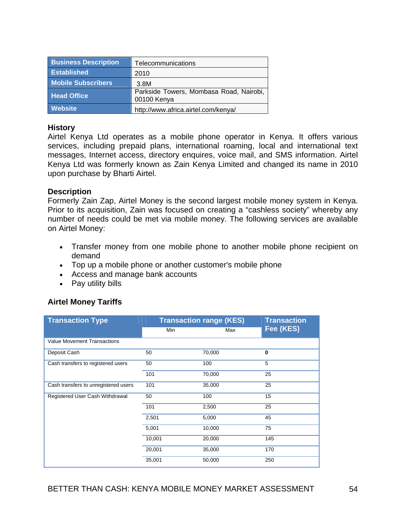| <b>Business Description</b> | Telecommunications                                     |
|-----------------------------|--------------------------------------------------------|
| <b>Established</b>          | 2010                                                   |
| <b>Mobile Subscribers</b>   | 3.8M                                                   |
| <b>Head Office</b>          | Parkside Towers, Mombasa Road, Nairobi,<br>00100 Kenya |
| <b>Website</b>              | http://www.africa.airtel.com/kenya/                    |

#### **History**

Airtel Kenya Ltd operates as a mobile phone operator in Kenya. It offers various services, including prepaid plans, international roaming, local and international text messages, Internet access, directory enquires, voice mail, and SMS information. Airtel Kenya Ltd was formerly known as Zain Kenya Limited and changed its name in 2010 upon purchase by Bharti Airtel.

#### **Description**

Formerly Zain Zap, Airtel Money is the second largest mobile money system in Kenya. Prior to its acquisition, Zain was focused on creating a "cashless society" whereby any number of needs could be met via mobile money. The following services are available on Airtel Money:

- Transfer money from one mobile phone to another mobile phone recipient on demand
- Top up a mobile phone or another customer's mobile phone
- Access and manage bank accounts
- Pay utility bills

## **Airtel Money Tariffs**

| <b>Transaction Type</b>              | <b>Transaction range (KES)</b> | <b>Transaction</b> |           |
|--------------------------------------|--------------------------------|--------------------|-----------|
|                                      | Min                            | Max                | Fee (KES) |
| Value Movement Transactions          |                                |                    |           |
| Deposit Cash                         | 50                             | 70,000             | 0         |
| Cash transfers to registered users   | 50                             | 100                | 5         |
|                                      | 101                            | 70,000             | 25        |
| Cash transfers to unregistered users | 101                            | 35,000             | 25        |
| Registered User Cash Withdrawal      | 50                             | 100                | 15        |
|                                      | 101                            | 2,500              | 25        |
|                                      | 2,501                          | 5,000              | 45        |
|                                      | 5,001                          | 10,000             | 75        |
|                                      | 10,001                         | 20,000             | 145       |
|                                      | 20,001                         | 35,000             | 170       |
|                                      | 35,001                         | 50,000             | 250       |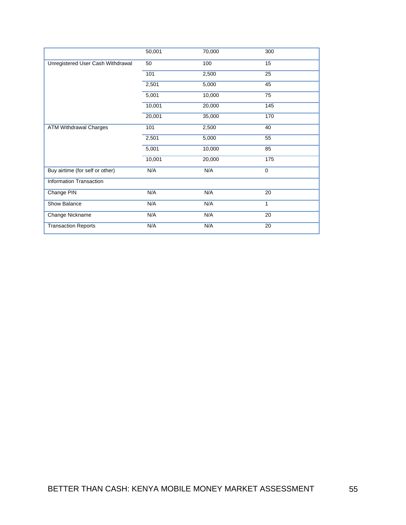|                                   | 50,001 | 70,000 | 300         |
|-----------------------------------|--------|--------|-------------|
| Unregistered User Cash Withdrawal | 50     | 100    | 15          |
|                                   | 101    | 2,500  | 25          |
|                                   | 2,501  | 5,000  | 45          |
|                                   | 5,001  | 10,000 | 75          |
|                                   | 10,001 | 20,000 | 145         |
|                                   | 20,001 | 35,000 | 170         |
| <b>ATM Withdrawal Charges</b>     | 101    | 2,500  | 40          |
|                                   | 2,501  | 5,000  | 55          |
|                                   | 5,001  | 10,000 | 85          |
|                                   | 10,001 | 20,000 | 175         |
| Buy airtime (for self or other)   | N/A    | N/A    | $\mathbf 0$ |
| Information Transaction           |        |        |             |
| Change PIN                        | N/A    | N/A    | 20          |
| Show Balance                      | N/A    | N/A    | 1           |
| Change Nickname                   | N/A    | N/A    | 20          |
| <b>Transaction Reports</b>        | N/A    | N/A    | 20          |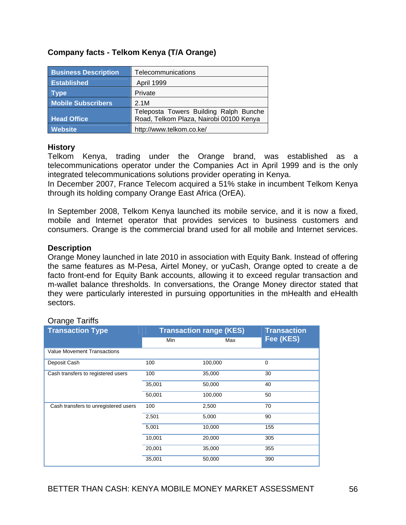| <b>Business Description</b> | Telecommunications                                                                |
|-----------------------------|-----------------------------------------------------------------------------------|
| <b>Established</b>          | <b>April 1999</b>                                                                 |
| <b>Type</b>                 | Private                                                                           |
| <b>Mobile Subscribers</b>   | 2.1M                                                                              |
| <b>Head Office</b>          | Teleposta Towers Building Ralph Bunche<br>Road, Telkom Plaza, Nairobi 00100 Kenya |
| <b>Website</b>              | http://www.telkom.co.ke/                                                          |

### **Company facts - Telkom Kenya (T/A Orange)**

#### **History**

Telkom Kenya, trading under the Orange brand, was established as a telecommunications operator under the Companies Act in April 1999 and is the only integrated telecommunications solutions provider operating in Kenya.

In December 2007, France Telecom acquired a 51% stake in incumbent Telkom Kenya through its holding company Orange East Africa (OrEA).

In September 2008, Telkom Kenya launched its mobile service, and it is now a fixed, mobile and Internet operator that provides services to business customers and consumers. Orange is the commercial brand used for all mobile and Internet services.

#### **Description**

Orange Money launched in late 2010 in association with Equity Bank. Instead of offering the same features as M-Pesa, Airtel Money, or yuCash, Orange opted to create a de facto front-end for Equity Bank accounts, allowing it to exceed regular transaction and m-wallet balance thresholds. In conversations, the Orange Money director stated that they were particularly interested in pursuing opportunities in the mHealth and eHealth sectors.

| - . <del>.</del> <del>.</del>        |                                |                    |             |  |
|--------------------------------------|--------------------------------|--------------------|-------------|--|
| <b>Transaction Type</b>              | <b>Transaction range (KES)</b> | <b>Transaction</b> |             |  |
|                                      | Min                            | Max                | Fee (KES)   |  |
| <b>Value Movement Transactions</b>   |                                |                    |             |  |
| Deposit Cash                         | 100                            | 100,000            | $\mathbf 0$ |  |
| Cash transfers to registered users   | 100                            | 35,000             | 30          |  |
|                                      | 35,001                         | 50,000             | 40          |  |
|                                      | 50,001                         | 100,000            | 50          |  |
| Cash transfers to unregistered users | 100                            | 2,500              | 70          |  |
|                                      | 2,501                          | 5,000              | 90          |  |
|                                      | 5,001                          | 10,000             | 155         |  |
|                                      | 10,001                         | 20,000             | 305         |  |
|                                      | 20,001                         | 35,000             | 355         |  |
|                                      | 35,001                         | 50,000             | 390         |  |

#### Orange Tariffs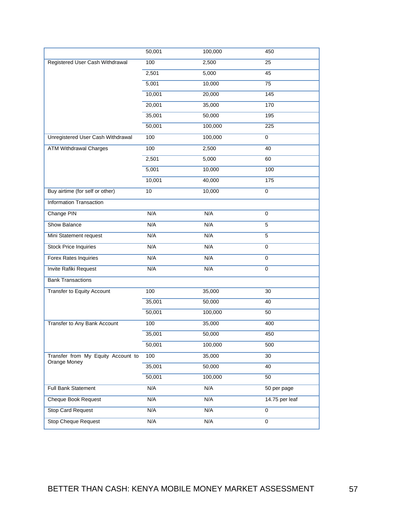|                                    | 50,001 | 100,000 | 450            |
|------------------------------------|--------|---------|----------------|
| Registered User Cash Withdrawal    | 100    | 2,500   | 25             |
|                                    | 2,501  | 5,000   | 45             |
|                                    | 5,001  | 10,000  | 75             |
|                                    | 10,001 | 20,000  | 145            |
|                                    | 20,001 | 35,000  | 170            |
|                                    | 35,001 | 50,000  | 195            |
|                                    | 50,001 | 100,000 | 225            |
| Unregistered User Cash Withdrawal  | 100    | 100,000 | $\mathbf 0$    |
| <b>ATM Withdrawal Charges</b>      | 100    | 2,500   | 40             |
|                                    | 2,501  | 5,000   | 60             |
|                                    | 5,001  | 10,000  | 100            |
|                                    | 10,001 | 40,000  | 175            |
| Buy airtime (for self or other)    | 10     | 10,000  | $\mathbf 0$    |
| <b>Information Transaction</b>     |        |         |                |
| Change PIN                         | N/A    | N/A     | $\mathbf 0$    |
| Show Balance                       | N/A    | N/A     | 5              |
| Mini Statement request             | N/A    | N/A     | 5              |
| <b>Stock Price Inquiries</b>       | N/A    | N/A     | $\mathbf 0$    |
| Forex Rates Inquiries              | N/A    | N/A     | 0              |
| Invite Rafiki Request              | N/A    | N/A     | $\mathbf 0$    |
| <b>Bank Transactions</b>           |        |         |                |
| Transfer to Equity Account         | 100    | 35,000  | 30             |
|                                    | 35,001 | 50,000  | 40             |
|                                    | 50,001 | 100,000 | 50             |
| Transfer to Any Bank Account       | 100    | 35,000  | 400            |
|                                    | 35,001 | 50,000  | 450            |
|                                    | 50,001 | 100,000 | 500            |
| Transfer from My Equity Account to | 100    | 35,000  | 30             |
| Orange Money                       | 35,001 | 50,000  | 40             |
|                                    | 50,001 | 100,000 | 50             |
| Full Bank Statement                | N/A    | N/A     | 50 per page    |
| <b>Cheque Book Request</b>         | N/A    | N/A     | 14.75 per leaf |
| <b>Stop Card Request</b>           | N/A    | N/A     | $\mathbf 0$    |
| <b>Stop Cheque Request</b>         | N/A    | N/A     | $\mathbf 0$    |
|                                    |        |         |                |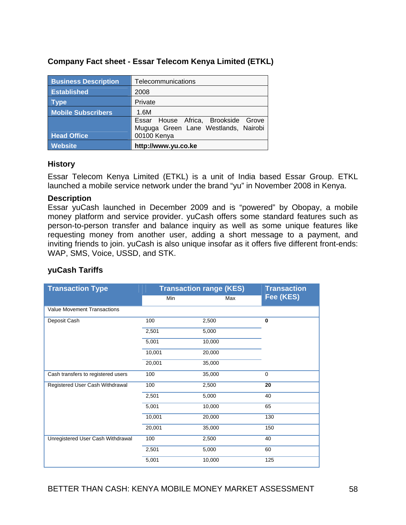| Company Fact sheet - Essar Telecom Kenya Limited (ETKL) |
|---------------------------------------------------------|
|---------------------------------------------------------|

| <b>Business Description</b> | Telecommunications                   |  |  |
|-----------------------------|--------------------------------------|--|--|
| <b>Established</b>          | 2008                                 |  |  |
| <b>Type</b>                 | Private                              |  |  |
| <b>Mobile Subscribers</b>   | 1.6M                                 |  |  |
|                             | Essar House Africa, Brookside Grove  |  |  |
|                             | Muguga Green Lane Westlands, Nairobi |  |  |
| <b>Head Office</b>          | 00100 Kenya                          |  |  |
| <b>Website</b>              | http://www.yu.co.ke                  |  |  |

#### **History**

Essar Telecom Kenya Limited (ETKL) is a unit of India based Essar Group. ETKL launched a mobile service network under the brand "yu" in November 2008 in Kenya.

#### **Description**

Essar yuCash launched in December 2009 and is "powered" by Obopay, a mobile money platform and service provider. yuCash offers some standard features such as person-to-person transfer and balance inquiry as well as some unique features like requesting money from another user, adding a short message to a payment, and inviting friends to join. yuCash is also unique insofar as it offers five different front-ends: WAP, SMS, Voice, USSD, and STK.

## **yuCash Tariffs**

| <b>Transaction Type</b>            | <b>Transaction range (KES)</b> |        | <b>Transaction</b> |  |
|------------------------------------|--------------------------------|--------|--------------------|--|
|                                    | Min                            | Max    | Fee (KES)          |  |
| <b>Value Movement Transactions</b> |                                |        |                    |  |
| Deposit Cash                       | 100                            | 2,500  | $\bf{0}$           |  |
|                                    | 2,501                          | 5,000  |                    |  |
|                                    | 5,001                          | 10,000 |                    |  |
|                                    | 10,001                         | 20,000 |                    |  |
|                                    | 20,001                         | 35,000 |                    |  |
| Cash transfers to registered users | 100                            | 35,000 | $\mathbf 0$        |  |
| Registered User Cash Withdrawal    | 100                            | 2,500  | 20                 |  |
|                                    | 2,501                          | 5,000  | 40                 |  |
|                                    | 5,001                          | 10,000 | 65                 |  |
|                                    | 10,001                         | 20,000 | 130                |  |
|                                    | 20,001                         | 35,000 | 150                |  |
| Unregistered User Cash Withdrawal  | 100                            | 2,500  | 40                 |  |
|                                    | 2,501                          | 5,000  | 60                 |  |
|                                    | 5,001                          | 10,000 | 125                |  |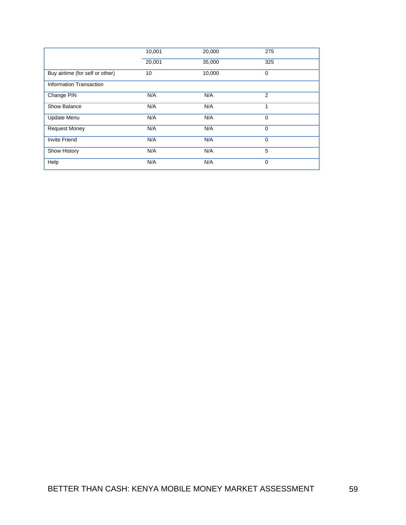|                                 | 10,001 | 20,000 | 275            |
|---------------------------------|--------|--------|----------------|
|                                 | 20,001 | 35,000 | 325            |
| Buy airtime (for self or other) | 10     | 10,000 | $\mathbf 0$    |
| <b>Information Transaction</b>  |        |        |                |
| Change PIN                      | N/A    | N/A    | $\overline{2}$ |
| Show Balance                    | N/A    | N/A    | 1              |
| Update Menu                     | N/A    | N/A    | $\mathbf 0$    |
| <b>Request Money</b>            | N/A    | N/A    | $\Omega$       |
| <b>Invite Friend</b>            | N/A    | N/A    | $\mathbf 0$    |
| Show History                    | N/A    | N/A    | 5              |
| Help                            | N/A    | N/A    | $\mathbf 0$    |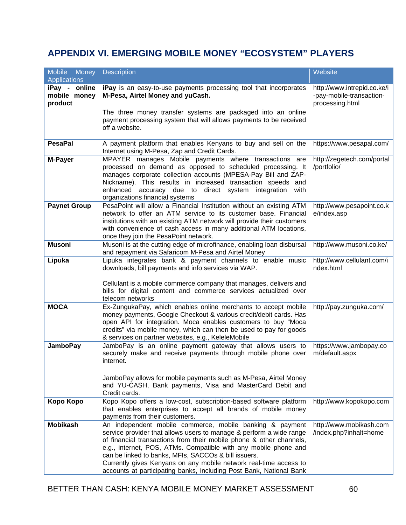# **APPENDIX VI. EMERGING MOBILE MONEY "ECOSYSTEM" PLAYERS**

| <b>Mobile</b><br>Money                   | <b>Description</b>                                                                                                                                                                                                                                                                                                                                                                                                                                                            | Website                                                                    |
|------------------------------------------|-------------------------------------------------------------------------------------------------------------------------------------------------------------------------------------------------------------------------------------------------------------------------------------------------------------------------------------------------------------------------------------------------------------------------------------------------------------------------------|----------------------------------------------------------------------------|
| <b>Applications</b>                      |                                                                                                                                                                                                                                                                                                                                                                                                                                                                               |                                                                            |
| iPay - online<br>mobile money<br>product | iPay is an easy-to-use payments processing tool that incorporates<br>M-Pesa, Airtel Money and yuCash.                                                                                                                                                                                                                                                                                                                                                                         | http://www.intrepid.co.ke/i<br>-pay-mobile-transaction-<br>processing.html |
|                                          | The three money transfer systems are packaged into an online<br>payment processing system that will allows payments to be received<br>off a website.                                                                                                                                                                                                                                                                                                                          |                                                                            |
| <b>PesaPal</b>                           | A payment platform that enables Kenyans to buy and sell on the<br>Internet using M-Pesa, Zap and Credit Cards.                                                                                                                                                                                                                                                                                                                                                                | https://www.pesapal.com/                                                   |
| M-Payer                                  | MPAYER manages Mobile payments where transactions are<br>processed on demand as opposed to scheduled processing. It<br>manages corporate collection accounts (MPESA-Pay Bill and ZAP-<br>Nickname). This results in increased transaction speeds and<br>enhanced accuracy due to direct system integration<br>with<br>organizations financial systems                                                                                                                         | http://zegetech.com/portal<br>/portfolio/                                  |
| <b>Paynet Group</b>                      | PesaPoint will allow a Financial Institution without an existing ATM<br>network to offer an ATM service to its customer base. Financial<br>institutions with an existing ATM network will provide their customers<br>with convenience of cash access in many additional ATM locations,<br>once they join the PesaPoint network.                                                                                                                                               | http://www.pesapoint.co.k<br>e/index.asp                                   |
| <b>Musoni</b>                            | Musoni is at the cutting edge of microfinance, enabling loan disbursal<br>and repayment via Safaricom M-Pesa and Airtel Money                                                                                                                                                                                                                                                                                                                                                 | http://www.musoni.co.ke/                                                   |
| Lipuka                                   | Lipuka integrates bank & payment channels to enable music<br>downloads, bill payments and info services via WAP.                                                                                                                                                                                                                                                                                                                                                              | http://www.cellulant.com/i<br>ndex.html                                    |
|                                          | Cellulant is a mobile commerce company that manages, delivers and<br>bills for digital content and commerce services actualized over<br>telecom networks                                                                                                                                                                                                                                                                                                                      |                                                                            |
| <b>MOCA</b>                              | Ex-ZungukaPay, which enables online merchants to accept mobile<br>money payments, Google Checkout & various credit/debit cards. Has<br>open API for integration. Moca enables customers to buy "Moca<br>credits" via mobile money, which can then be used to pay for goods<br>& services on partner websites, e.g., KeleleMobile                                                                                                                                              | http://pay.zunguka.com/                                                    |
| <b>JamboPay</b>                          | JamboPay is an online payment gateway that allows users to<br>securely make and receive payments through mobile phone over<br>internet.                                                                                                                                                                                                                                                                                                                                       | https://www.jambopay.co<br>m/default.aspx                                  |
|                                          | JamboPay allows for mobile payments such as M-Pesa, Airtel Money<br>and YU-CASH, Bank payments, Visa and MasterCard Debit and<br>Credit cards.                                                                                                                                                                                                                                                                                                                                |                                                                            |
| Kopo Kopo                                | Kopo Kopo offers a low-cost, subscription-based software platform<br>that enables enterprises to accept all brands of mobile money<br>payments from their customers.                                                                                                                                                                                                                                                                                                          | http://www.kopokopo.com                                                    |
| <b>Mobikash</b>                          | An independent mobile commerce, mobile banking & payment<br>service provider that allows users to manage & perform a wide range<br>of financial transactions from their mobile phone & other channels,<br>e.g., internet, POS, ATMs. Compatible with any mobile phone and<br>can be linked to banks, MFIs, SACCOs & bill issuers.<br>Currently gives Kenyans on any mobile network real-time access to<br>accounts at participating banks, including Post Bank, National Bank | http://www.mobikash.com<br>/index.php?inhalt=home                          |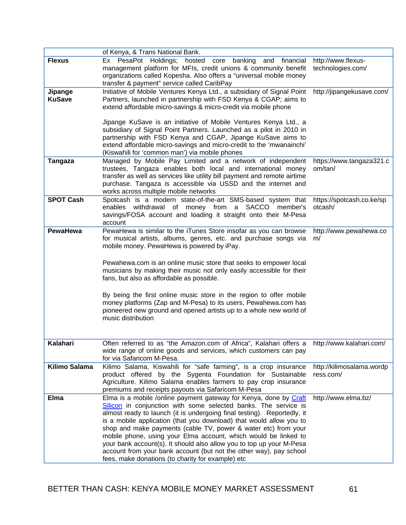|                  | of Kenya, & Trans National Bank.                                                                                                       |                                      |
|------------------|----------------------------------------------------------------------------------------------------------------------------------------|--------------------------------------|
| <b>Flexus</b>    | Ex PesaPot Holdings; hosted<br>core banking<br>and financial                                                                           | http://www.flexus-                   |
|                  | management platform for MFIs, credit unions & community benefit<br>organizations called Kopesha. Also offers a "universal mobile money | technologies.com/                    |
|                  | transfer & payment" service called CaribPay                                                                                            |                                      |
| Jipange          | Initiative of Mobile Ventures Kenya Ltd., a subsidiary of Signal Point                                                                 | http://jipangekusave.com/            |
| <b>KuSave</b>    | Partners, launched in partnership with FSD Kenya & CGAP; aims to                                                                       |                                      |
|                  | extend affordable micro-savings & micro-credit via mobile phone                                                                        |                                      |
|                  | Jipange KuSave is an initiative of Mobile Ventures Kenya Ltd., a                                                                       |                                      |
|                  | subsidiary of Signal Point Partners. Launched as a pilot in 2010 in                                                                    |                                      |
|                  | partnership with FSD Kenya and CGAP, Jipange KuSave aims to                                                                            |                                      |
|                  | extend affordable micro-savings and micro-credit to the 'mwanainchi'                                                                   |                                      |
| <b>Tangaza</b>   | (Kiswahili for 'common man') via mobile phones<br>Managed by Mobile Pay Limited and a network of independent                           | https://www.tangaza321.c             |
|                  | trustees, Tangaza enables both local and international money                                                                           | om/tan/                              |
|                  | transfer as well as services like utility bill payment and remote airtime                                                              |                                      |
|                  | purchase. Tangaza is accessible via USSD and the internet and                                                                          |                                      |
|                  | works across multiple mobile networks                                                                                                  |                                      |
| <b>SPOT Cash</b> | Spotcash is a modern state-of-the-art SMS-based system that<br>enables withdrawal of money from a SACCO<br>member's                    | https://spotcash.co.ke/sp<br>otcash/ |
|                  | savings/FOSA account and loading it straight onto their M-Pesa                                                                         |                                      |
|                  | account                                                                                                                                |                                      |
| <b>PewaHewa</b>  | PewaHewa is similar to the iTunes Store insofar as you can browse                                                                      | http://www.pewahewa.co               |
|                  | for musical artists, albums, genres, etc. and purchase songs via<br>mobile money. PewaHewa is powered by iPay.                         | m/                                   |
|                  |                                                                                                                                        |                                      |
|                  | Pewahewa.com is an online music store that seeks to empower local                                                                      |                                      |
|                  | musicians by making their music not only easily accessible for their                                                                   |                                      |
|                  | fans, but also as affordable as possible.                                                                                              |                                      |
|                  |                                                                                                                                        |                                      |
|                  | By being the first online music store in the region to offer mobile<br>money platforms (Zap and M-Pesa) to its users, Pewahewa.com has |                                      |
|                  | pioneered new ground and opened artists up to a whole new world of                                                                     |                                      |
|                  | music distribution                                                                                                                     |                                      |
|                  |                                                                                                                                        |                                      |
|                  |                                                                                                                                        |                                      |
| Kalahari         | Often referred to as "the Amazon.com of Africa", Kalahari offers a<br>wide range of online goods and services, which customers can pay | http://www.kalahari.com/             |
|                  | for via Safaricom M-Pesa.                                                                                                              |                                      |
| Kilimo Salama    | Kilimo Salama, Kiswahili for "safe farming", is a crop insurance                                                                       | http://kilimosalama.wordp            |
|                  | product offered by the Sygenta Foundation for Sustainable                                                                              | ress.com/                            |
|                  | Agriculture. Kilimo Salama enables farmers to pay crop insurance                                                                       |                                      |
| <b>Elma</b>      | premiums and receipts payouts via Safaricom M-Pesa<br>Elma is a mobile /online payment gateway for Kenya, done by Craft                | http://www.elma.bz/                  |
|                  | Silicon in conjunction with some selected banks. The service is                                                                        |                                      |
|                  | almost ready to launch (it is undergoing final testing). Reportedly, it                                                                |                                      |
|                  | is a mobile application (that you download) that would allow you to                                                                    |                                      |
|                  | shop and make payments (cable TV, power & water etc) from your<br>mobile phone, using your Elma account, which would be linked to      |                                      |
|                  | your bank account(s). It should also allow you to top up your M-Pesa                                                                   |                                      |
|                  | account from your bank account (but not the other way), pay school                                                                     |                                      |
|                  | fees, make donations (to charity for example) etc                                                                                      |                                      |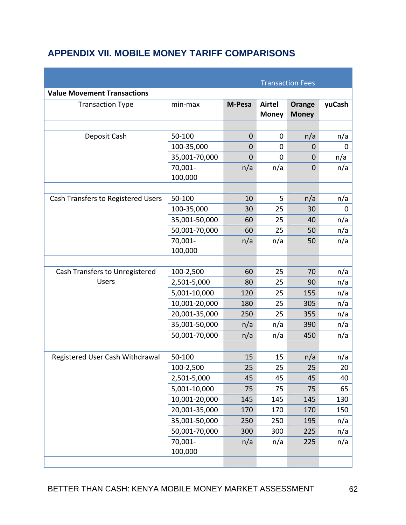# **APPENDIX VII. MOBILE MONEY TARIFF COMPARISONS**

|                                    |                    |             |                               | <b>Transaction Fees</b> |        |
|------------------------------------|--------------------|-------------|-------------------------------|-------------------------|--------|
| <b>Value Movement Transactions</b> |                    |             |                               |                         |        |
| <b>Transaction Type</b>            | min-max            | M-Pesa      | <b>Airtel</b><br><b>Money</b> | Orange<br><b>Money</b>  | yuCash |
|                                    |                    |             |                               |                         |        |
| Deposit Cash                       | 50-100             | $\mathbf 0$ | 0                             | n/a                     | n/a    |
|                                    | 100-35,000         | 0           | 0                             | $\mathbf 0$             | 0      |
|                                    | 35,001-70,000      | $\mathbf 0$ | 0                             | $\mathbf 0$             | n/a    |
|                                    | 70,001-<br>100,000 | n/a         | n/a                           | $\mathbf 0$             | n/a    |
|                                    |                    |             |                               |                         |        |
| Cash Transfers to Registered Users | 50-100             | 10          | 5                             | n/a                     | n/a    |
|                                    | 100-35,000         | 30          | 25                            | 30                      | 0      |
|                                    | 35,001-50,000      | 60          | 25                            | 40                      | n/a    |
|                                    | 50,001-70,000      | 60          | 25                            | 50                      | n/a    |
|                                    | 70,001-<br>100,000 | n/a         | n/a                           | 50                      | n/a    |
|                                    |                    |             |                               |                         |        |
| Cash Transfers to Unregistered     | 100-2,500          | 60          | 25                            | 70                      | n/a    |
| <b>Users</b>                       | 2,501-5,000        | 80          | 25                            | 90                      | n/a    |
|                                    | 5,001-10,000       | 120         | 25                            | 155                     | n/a    |
|                                    | 10,001-20,000      | 180         | 25                            | 305                     | n/a    |
|                                    | 20,001-35,000      | 250         | 25                            | 355                     | n/a    |
|                                    | 35,001-50,000      | n/a         | n/a                           | 390                     | n/a    |
|                                    | 50,001-70,000      | n/a         | n/a                           | 450                     | n/a    |
|                                    |                    |             |                               |                         |        |
| Registered User Cash Withdrawal    | 50-100             | 15          | 15                            | n/a                     | n/a    |
|                                    | 100-2,500          | 25          | 25                            | 25                      | 20     |
|                                    | 2,501-5,000        | 45          | 45                            | 45                      | 40     |
|                                    | 5,001-10,000       | 75          | 75                            | 75                      | 65     |
|                                    | 10,001-20,000      | 145         | 145                           | 145                     | 130    |
|                                    | 20,001-35,000      | 170         | 170                           | 170                     | 150    |
|                                    | 35,001-50,000      | 250         | 250                           | 195                     | n/a    |
|                                    | 50,001-70,000      | 300         | 300                           | 225                     | n/a    |
|                                    | 70,001-<br>100,000 | n/a         | n/a                           | 225                     | n/a    |
|                                    |                    |             |                               |                         |        |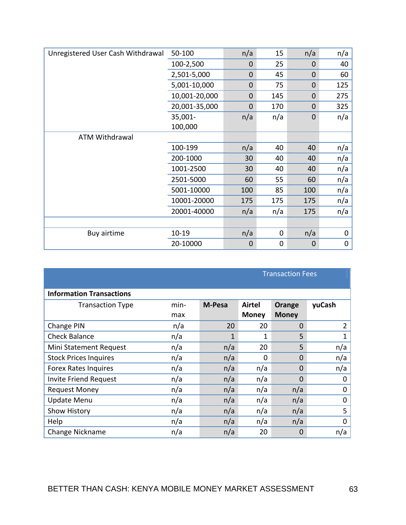| Unregistered User Cash Withdrawal | 50-100        | n/a         | 15             | n/a            | n/a |
|-----------------------------------|---------------|-------------|----------------|----------------|-----|
|                                   | 100-2,500     | $\mathbf 0$ | 25             | $\overline{0}$ | 40  |
|                                   | 2,501-5,000   | $\mathbf 0$ | 45             | $\mathbf 0$    | 60  |
|                                   | 5,001-10,000  | $\mathbf 0$ | 75             | $\overline{0}$ | 125 |
|                                   | 10,001-20,000 | $\mathbf 0$ | 145            | $\overline{0}$ | 275 |
|                                   | 20,001-35,000 | $\mathbf 0$ | 170            | $\overline{0}$ | 325 |
|                                   | 35,001-       | n/a         | n/a            | $\mathbf 0$    | n/a |
|                                   | 100,000       |             |                |                |     |
| <b>ATM Withdrawal</b>             |               |             |                |                |     |
|                                   | 100-199       | n/a         | 40             | 40             | n/a |
|                                   | 200-1000      | 30          | 40             | 40             | n/a |
|                                   | 1001-2500     | 30          | 40             | 40             | n/a |
|                                   | 2501-5000     | 60          | 55             | 60             | n/a |
|                                   | 5001-10000    | 100         | 85             | 100            | n/a |
|                                   | 10001-20000   | 175         | 175            | 175            | n/a |
|                                   | 20001-40000   | n/a         | n/a            | 175            | n/a |
|                                   |               |             |                |                |     |
| Buy airtime                       | 10-19         | n/a         | 0              | n/a            | 0   |
|                                   | 20-10000      | $\mathbf 0$ | $\overline{0}$ | $\overline{0}$ | 0   |

|                                 |      |              | <b>Transaction Fees</b> |                |        |
|---------------------------------|------|--------------|-------------------------|----------------|--------|
| <b>Information Transactions</b> |      |              |                         |                |        |
| <b>Transaction Type</b>         | min- | M-Pesa       | <b>Airtel</b>           | Orange         | yuCash |
|                                 | max  |              | <b>Money</b>            | <b>Money</b>   |        |
| Change PIN                      | n/a  | 20           | 20                      | $\Omega$       | 2      |
| <b>Check Balance</b>            | n/a  | $\mathbf{1}$ | 1                       | 5              | 1      |
| Mini Statement Request          | n/a  | n/a          | 20                      | 5              | n/a    |
| <b>Stock Prices Inquires</b>    | n/a  | n/a          | 0                       | $\overline{0}$ | n/a    |
| <b>Forex Rates Inquires</b>     | n/a  | n/a          | n/a                     | $\overline{0}$ | n/a    |
| <b>Invite Friend Request</b>    | n/a  | n/a          | n/a                     | $\overline{0}$ | 0      |
| <b>Request Money</b>            | n/a  | n/a          | n/a                     | n/a            | 0      |
| <b>Update Menu</b>              | n/a  | n/a          | n/a                     | n/a            | 0      |
| Show History                    | n/a  | n/a          | n/a                     | n/a            | 5      |
| Help                            | n/a  | n/a          | n/a                     | n/a            | 0      |
| Change Nickname                 | n/a  | n/a          | 20                      | $\Omega$       | n/a    |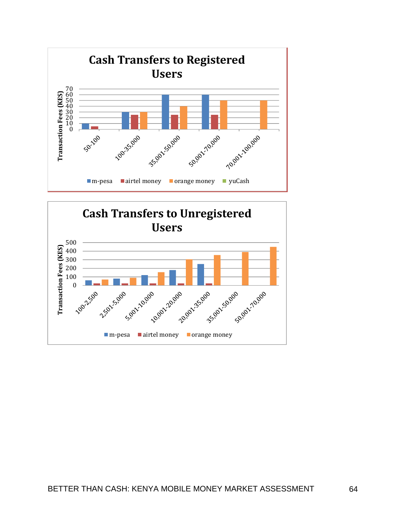

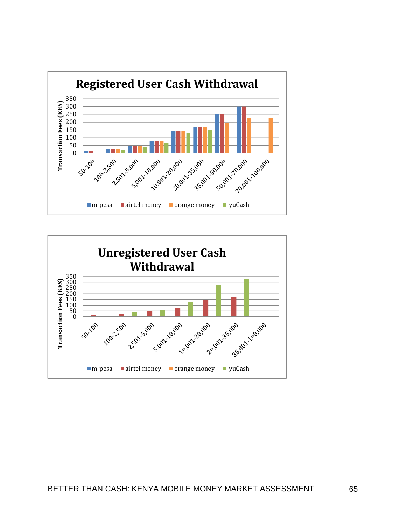

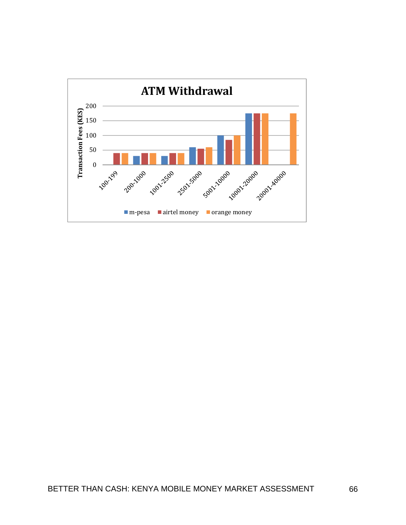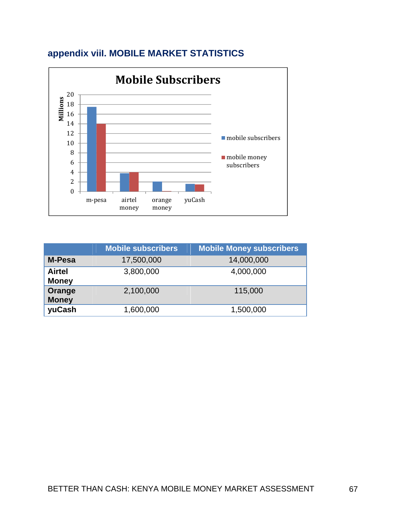

# **appendix viiI. MOBILE MARKET STATISTICS**

|                               | <b>Mobile subscribers</b> | <b>Mobile Money subscribers</b> |
|-------------------------------|---------------------------|---------------------------------|
| <b>M-Pesa</b>                 | 17,500,000                | 14,000,000                      |
| <b>Airtel</b><br><b>Money</b> | 3,800,000                 | 4,000,000                       |
| Orange<br><b>Money</b>        | 2,100,000                 | 115,000                         |
| yuCash                        | 1,600,000                 | 1,500,000                       |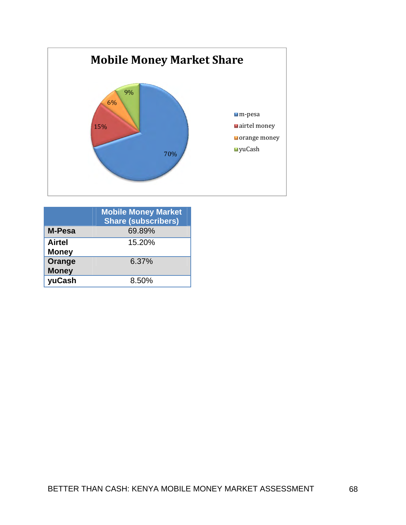

|                               | <b>Mobile Money Market</b><br><b>Share (subscribers)</b> |
|-------------------------------|----------------------------------------------------------|
| <b>M-Pesa</b>                 | 69.89%                                                   |
| <b>Airtel</b><br><b>Money</b> | 15.20%                                                   |
| Orange<br><b>Money</b>        | 6.37%                                                    |
| yuCash                        | 8.50%                                                    |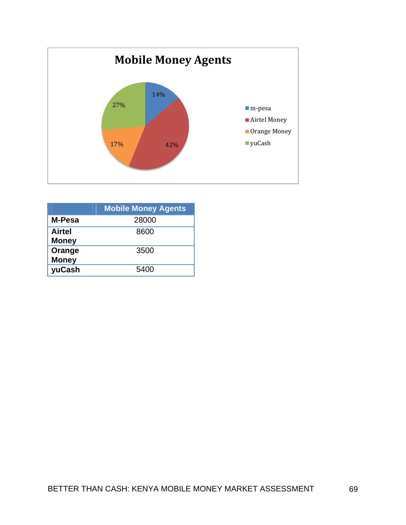

|                               | <b>Mobile Money Agents</b> |
|-------------------------------|----------------------------|
| M-Pesa                        | 28000                      |
| <b>Airtel</b><br><b>Money</b> | 8600                       |
| Orange<br><b>Money</b>        | 3500                       |
| yuCash                        | 5400                       |